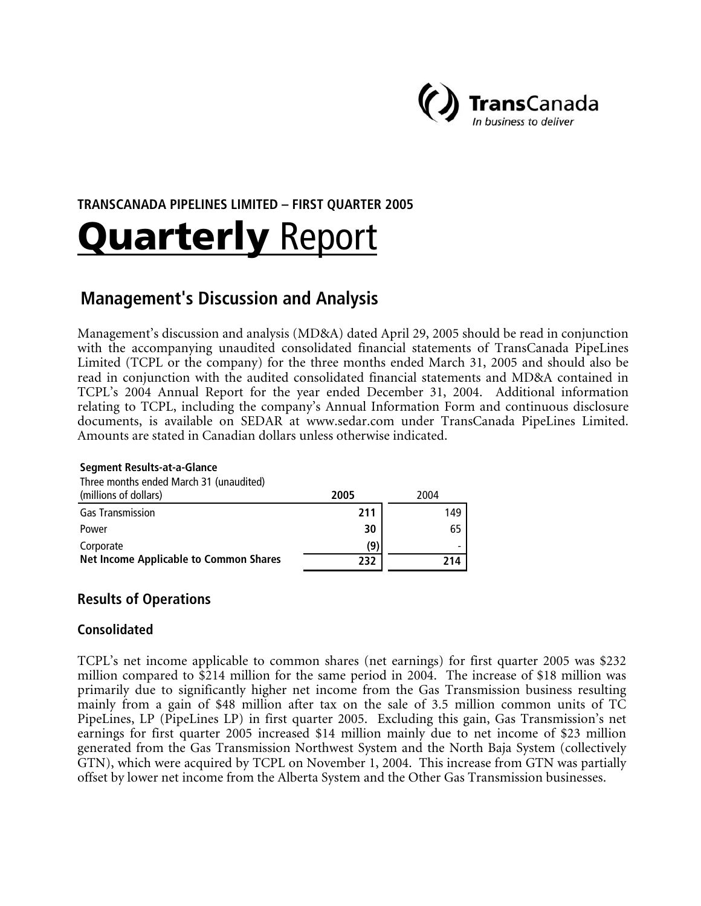

# **TRANSCANADA PIPELINES LIMITED – FIRST QUARTER 2005 Quarterly Report**

# **Management's Discussion and Analysis**

Management's discussion and analysis (MD&A) dated April 29, 2005 should be read in conjunction with the accompanying unaudited consolidated financial statements of TransCanada PipeLines Limited (TCPL or the company) for the three months ended March 31, 2005 and should also be read in conjunction with the audited consolidated financial statements and MD&A contained in TCPL's 2004 Annual Report for the year ended December 31, 2004. Additional information relating to TCPL, including the company's Annual Information Form and continuous disclosure documents, is available on SEDAR at www.sedar.com under TransCanada PipeLines Limited. Amounts are stated in Canadian dollars unless otherwise indicated.

#### **Segment Results-at-a-Glance**

| Three months ended March 31 (unaudited)       |      |      |
|-----------------------------------------------|------|------|
| (millions of dollars)                         | 2005 | 2004 |
| <b>Gas Transmission</b>                       | 211  | 149  |
| Power                                         | 30   | 65   |
| Corporate                                     | '9)  |      |
| <b>Net Income Applicable to Common Shares</b> | 232  | 214  |

# **Results of Operations**

# **Consolidated**

TCPL's net income applicable to common shares (net earnings) for first quarter 2005 was \$232 million compared to \$214 million for the same period in 2004. The increase of \$18 million was primarily due to significantly higher net income from the Gas Transmission business resulting mainly from a gain of \$48 million after tax on the sale of 3.5 million common units of TC PipeLines, LP (PipeLines LP) in first quarter 2005. Excluding this gain, Gas Transmission's net earnings for first quarter 2005 increased \$14 million mainly due to net income of \$23 million generated from the Gas Transmission Northwest System and the North Baja System (collectively GTN), which were acquired by TCPL on November 1, 2004. This increase from GTN was partially offset by lower net income from the Alberta System and the Other Gas Transmission businesses.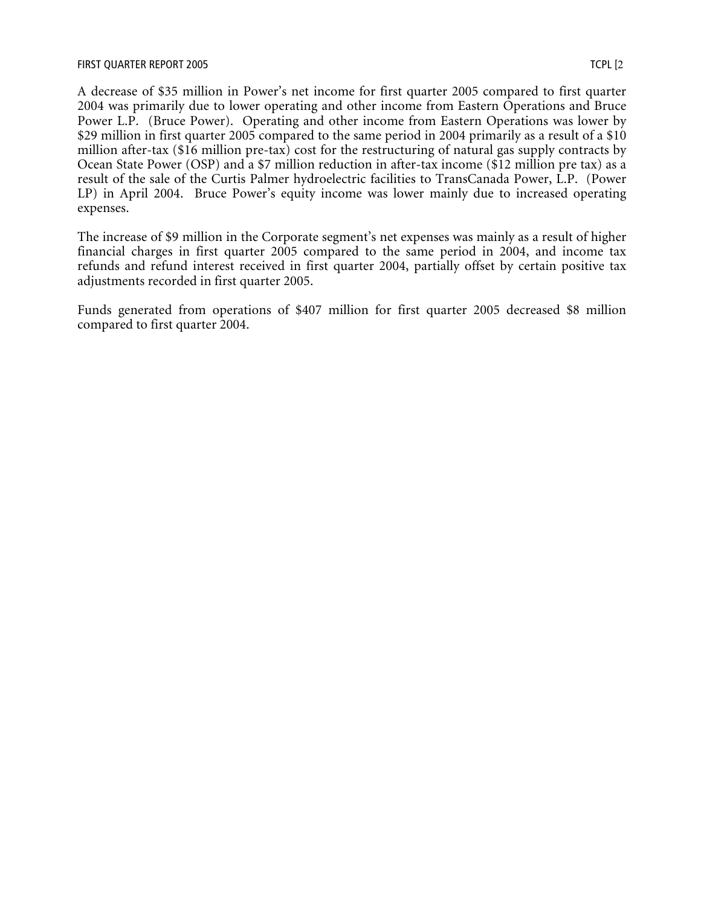A decrease of \$35 million in Power's net income for first quarter 2005 compared to first quarter 2004 was primarily due to lower operating and other income from Eastern Operations and Bruce Power L.P. (Bruce Power). Operating and other income from Eastern Operations was lower by \$29 million in first quarter 2005 compared to the same period in 2004 primarily as a result of a \$10 million after-tax (\$16 million pre-tax) cost for the restructuring of natural gas supply contracts by Ocean State Power (OSP) and a \$7 million reduction in after-tax income (\$12 million pre tax) as a result of the sale of the Curtis Palmer hydroelectric facilities to TransCanada Power, L.P. (Power LP) in April 2004. Bruce Power's equity income was lower mainly due to increased operating expenses.

The increase of \$9 million in the Corporate segment's net expenses was mainly as a result of higher financial charges in first quarter 2005 compared to the same period in 2004, and income tax refunds and refund interest received in first quarter 2004, partially offset by certain positive tax adjustments recorded in first quarter 2005.

Funds generated from operations of \$407 million for first quarter 2005 decreased \$8 million compared to first quarter 2004.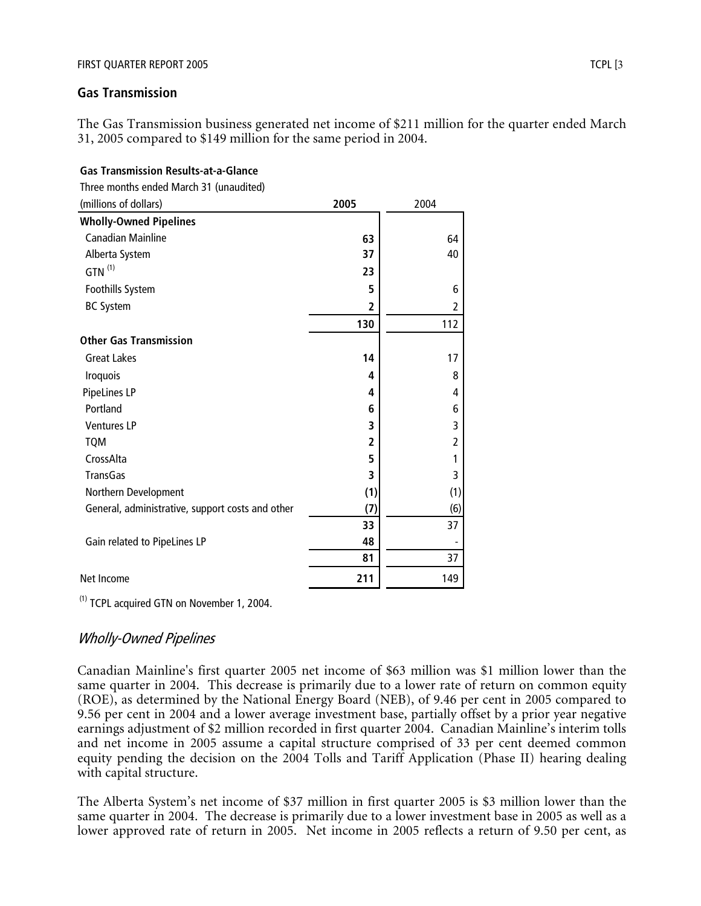**Gas Transmission Results-at-a-Glance**

### **Gas Transmission**

The Gas Transmission business generated net income of \$211 million for the quarter ended March 31, 2005 compared to \$149 million for the same period in 2004.

| Three months ended March 31 (unaudited)          |                |                |
|--------------------------------------------------|----------------|----------------|
| (millions of dollars)                            | 2005           | 2004           |
| <b>Wholly-Owned Pipelines</b>                    |                |                |
| <b>Canadian Mainline</b>                         | 63             | 64             |
| Alberta System                                   | 37             | 40             |
| $GTN$ <sup>(1)</sup>                             | 23             |                |
| Foothills System                                 | 5              | 6              |
| <b>BC System</b>                                 | $\overline{2}$ | $\overline{2}$ |
|                                                  | 130            | 112            |
| <b>Other Gas Transmission</b>                    |                |                |
| <b>Great Lakes</b>                               | 14             | 17             |
| Iroquois                                         | 4              | 8              |
| PipeLines LP                                     | 4              | 4              |
| Portland                                         | 6              | 6              |
| <b>Ventures LP</b>                               | 3              | 3              |
| <b>TQM</b>                                       | 2              | 2              |
| CrossAlta                                        | 5              | 1              |
| <b>TransGas</b>                                  | 3              | 3              |
| Northern Development                             | (1)            | (1)            |
| General, administrative, support costs and other | (7)            | (6)            |
|                                                  | 33             | 37             |
| Gain related to PipeLines LP                     | 48             |                |
|                                                  | 81             | 37             |
| Net Income                                       | 211            | 149            |

(1) TCPL acquired GTN on November 1, 2004.

# Wholly-Owned Pipelines

Canadian Mainline's first quarter 2005 net income of \$63 million was \$1 million lower than the same quarter in 2004. This decrease is primarily due to a lower rate of return on common equity (ROE), as determined by the National Energy Board (NEB), of 9.46 per cent in 2005 compared to 9.56 per cent in 2004 and a lower average investment base, partially offset by a prior year negative earnings adjustment of \$2 million recorded in first quarter 2004. Canadian Mainline's interim tolls and net income in 2005 assume a capital structure comprised of 33 per cent deemed common equity pending the decision on the 2004 Tolls and Tariff Application (Phase II) hearing dealing with capital structure.

The Alberta System's net income of \$37 million in first quarter 2005 is \$3 million lower than the same quarter in 2004. The decrease is primarily due to a lower investment base in 2005 as well as a lower approved rate of return in 2005. Net income in 2005 reflects a return of 9.50 per cent, as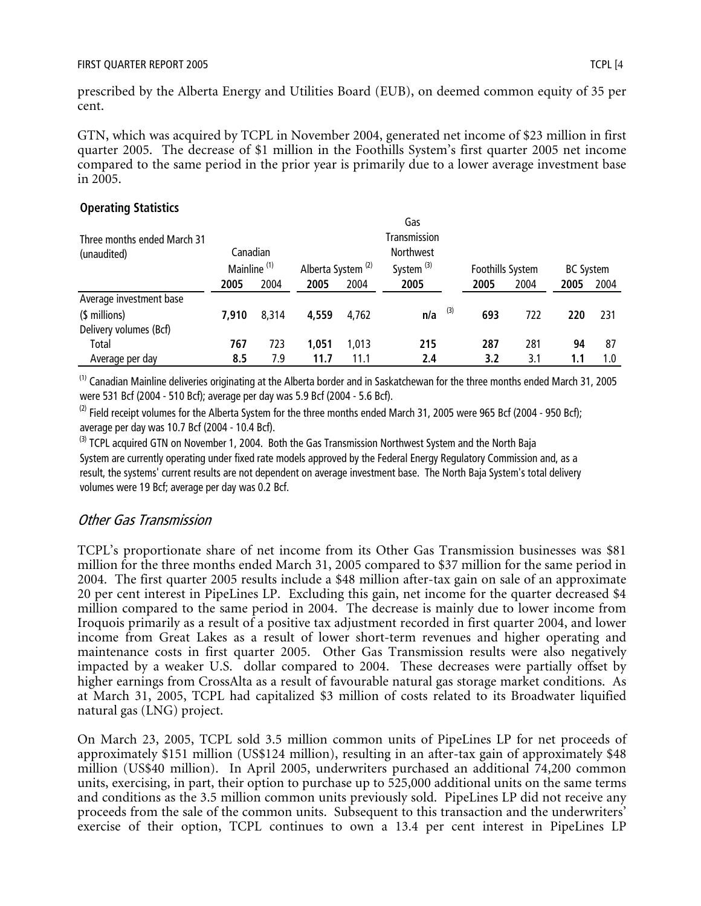prescribed by the Alberta Energy and Utilities Board (EUB), on deemed common equity of 35 per cent.

GTN, which was acquired by TCPL in November 2004, generated net income of \$23 million in first quarter 2005. The decrease of \$1 million in the Foothills System's first quarter 2005 net income compared to the same period in the prior year is primarily due to a lower average investment base in 2005.

# **Operating Statistics**

| Three months ended March 31<br>(unaudited) | Canadian<br>Mainline <sup>(1)</sup> |       | Alberta System <sup>(2)</sup> |       | Gas<br>Transmission<br><b>Northwest</b><br>System <sup>(3)</sup> | Foothills System |      | <b>BC System</b> |      |
|--------------------------------------------|-------------------------------------|-------|-------------------------------|-------|------------------------------------------------------------------|------------------|------|------------------|------|
|                                            | 2005                                | 2004  | 2005                          | 2004  | 2005                                                             | 2005             | 2004 | 2005             | 2004 |
| Average investment base                    |                                     |       |                               |       |                                                                  |                  |      |                  |      |
| (\$ millions)                              | 7.910                               | 8.314 | 4,559                         | 4.762 | (3)<br>n/a                                                       | 693              | 722  | 220              | 231  |
| Delivery volumes (Bcf)                     |                                     |       |                               |       |                                                                  |                  |      |                  |      |
| <b>Total</b>                               | 767                                 | 723   | 1,051                         | 1.013 | 215                                                              | 287              | 281  | 94               | -87  |
| Average per day                            | 8.5                                 | 7.9   | 11.7                          | 11.1  | 2.4                                                              | 3.2              | 3.1  | 1.1              | 1.0  |

<sup>(1)</sup> Canadian Mainline deliveries originating at the Alberta border and in Saskatchewan for the three months ended March 31, 2005 were 531 Bcf (2004 - 510 Bcf); average per day was 5.9 Bcf (2004 - 5.6 Bcf).

 $^{(2)}$  Field receipt volumes for the Alberta System for the three months ended March 31, 2005 were 965 Bcf (2004 - 950 Bcf); average per day was 10.7 Bcf (2004 - 10.4 Bcf).

<sup>(3)</sup> TCPL acquired GTN on November 1, 2004. Both the Gas Transmission Northwest System and the North Baja System are currently operating under fixed rate models approved by the Federal Energy Regulatory Commission and, as a result, the systems' current results are not dependent on average investment base. The North Baja System's total delivery volumes were 19 Bcf; average per day was 0.2 Bcf.

# Other Gas Transmission

TCPL's proportionate share of net income from its Other Gas Transmission businesses was \$81 million for the three months ended March 31, 2005 compared to \$37 million for the same period in 2004. The first quarter 2005 results include a \$48 million after-tax gain on sale of an approximate 20 per cent interest in PipeLines LP. Excluding this gain, net income for the quarter decreased \$4 million compared to the same period in 2004. The decrease is mainly due to lower income from Iroquois primarily as a result of a positive tax adjustment recorded in first quarter 2004, and lower income from Great Lakes as a result of lower short-term revenues and higher operating and maintenance costs in first quarter 2005. Other Gas Transmission results were also negatively impacted by a weaker U.S. dollar compared to 2004. These decreases were partially offset by higher earnings from CrossAlta as a result of favourable natural gas storage market conditions. As at March 31, 2005, TCPL had capitalized \$3 million of costs related to its Broadwater liquified natural gas (LNG) project.

On March 23, 2005, TCPL sold 3.5 million common units of PipeLines LP for net proceeds of approximately \$151 million (US\$124 million), resulting in an after-tax gain of approximately \$48 million (US\$40 million). In April 2005, underwriters purchased an additional 74,200 common units, exercising, in part, their option to purchase up to 525,000 additional units on the same terms and conditions as the 3.5 million common units previously sold. PipeLines LP did not receive any proceeds from the sale of the common units. Subsequent to this transaction and the underwriters' exercise of their option, TCPL continues to own a 13.4 per cent interest in PipeLines LP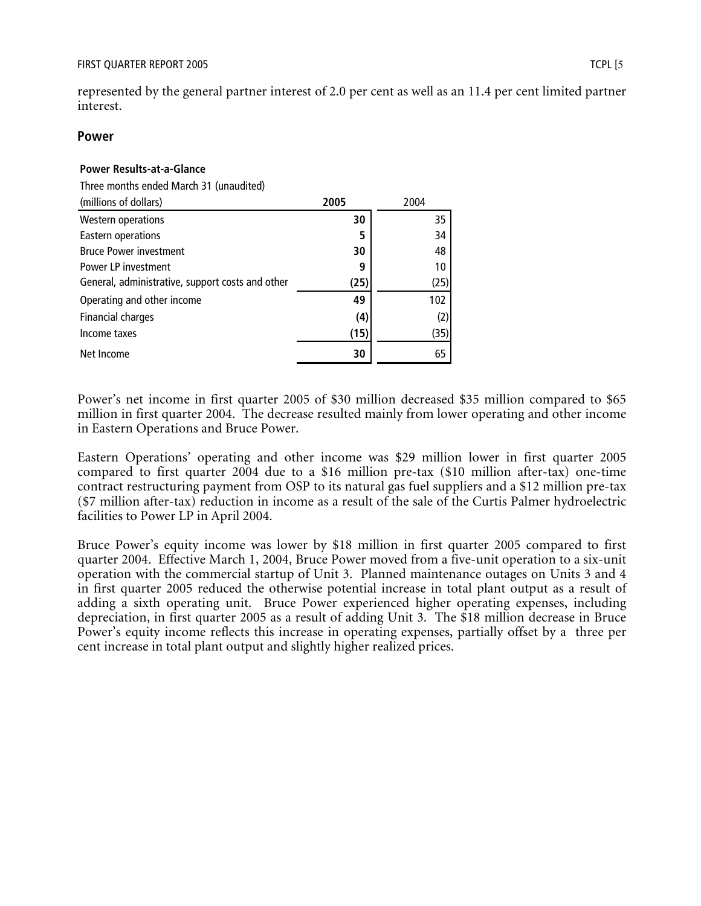represented by the general partner interest of 2.0 per cent as well as an 11.4 per cent limited partner interest.

#### **Power**

### **Power Results-at-a-Glance**

Three months ended March 31 (unaudited)

| (millions of dollars)                            | 2005 | 2004 |
|--------------------------------------------------|------|------|
| <b>Western operations</b>                        | 30   | 35   |
| Eastern operations                               | 5    | 34   |
| <b>Bruce Power investment</b>                    | 30   | 48   |
| Power LP investment                              | 9    | 10   |
| General, administrative, support costs and other | (25) | (25) |
| Operating and other income                       | 49   | 102  |
| Financial charges                                | (4)  | (2)  |
| Income taxes                                     | (15) | (35) |
| Net Income                                       | 30   | 65   |

Power's net income in first quarter 2005 of \$30 million decreased \$35 million compared to \$65 million in first quarter 2004. The decrease resulted mainly from lower operating and other income in Eastern Operations and Bruce Power.

Eastern Operations' operating and other income was \$29 million lower in first quarter 2005 compared to first quarter 2004 due to a \$16 million pre-tax (\$10 million after-tax) one-time contract restructuring payment from OSP to its natural gas fuel suppliers and a \$12 million pre-tax (\$7 million after-tax) reduction in income as a result of the sale of the Curtis Palmer hydroelectric facilities to Power LP in April 2004.

Bruce Power's equity income was lower by \$18 million in first quarter 2005 compared to first quarter 2004. Effective March 1, 2004, Bruce Power moved from a five-unit operation to a six-unit operation with the commercial startup of Unit 3. Planned maintenance outages on Units 3 and 4 in first quarter 2005 reduced the otherwise potential increase in total plant output as a result of adding a sixth operating unit. Bruce Power experienced higher operating expenses, including depreciation, in first quarter 2005 as a result of adding Unit 3. The \$18 million decrease in Bruce Power's equity income reflects this increase in operating expenses, partially offset by a three per cent increase in total plant output and slightly higher realized prices.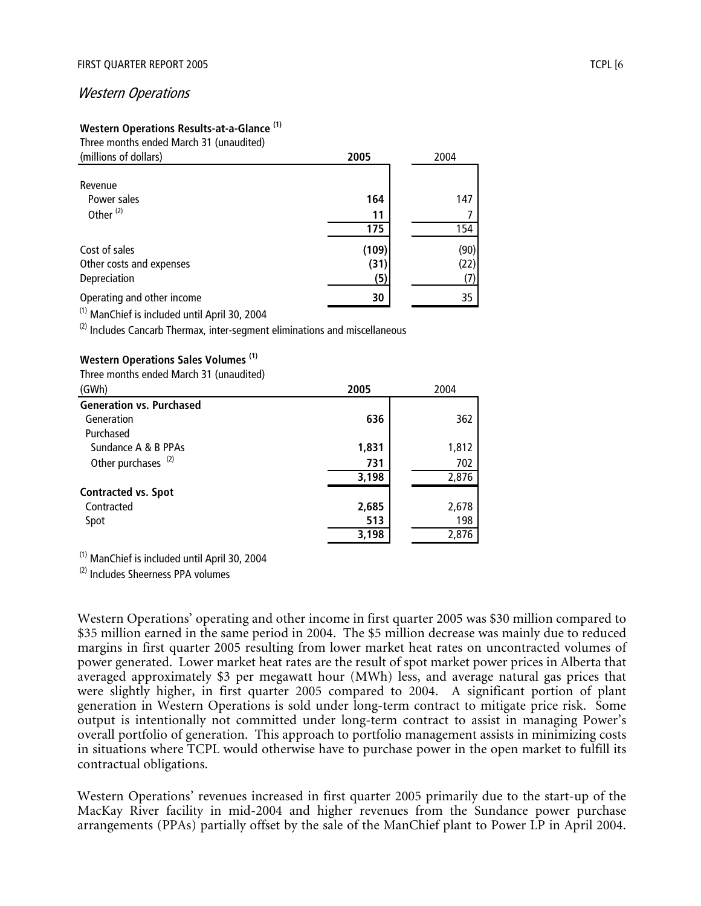#### Western Operations

#### **Western Operations Results-at-a-Glance (1)** Three months ended March 31 (unaudited)

| THE C HOHGIS CHUCU MUICH ST (UNUURICU)<br>(millions of dollars) | 2005      | 2004 |
|-----------------------------------------------------------------|-----------|------|
| Revenue<br>Power sales<br>Other $(2)$                           | 164       | 147  |
|                                                                 | 11<br>175 | 154  |
| Cost of sales                                                   | (109)     | (90) |
| Other costs and expenses                                        | (31)      | (22) |
| Depreciation                                                    | (5)       | (7)  |
| Operating and other income                                      | 30        | 35   |
| <sup>(1)</sup> ManChief is included until April 30, 2004        |           |      |

 $(2)$  Includes Cancarb Thermax, inter-segment eliminations and miscellaneous

#### **Western Operations Sales Volumes (1)**

Three months ended March 31 (unaudited)

| (GWh)                           | 2005  | 2004  |
|---------------------------------|-------|-------|
| <b>Generation vs. Purchased</b> |       |       |
| Generation                      | 636   | 362   |
| Purchased                       |       |       |
| Sundance A & B PPAs             | 1,831 | 1,812 |
| Other purchases <sup>(2)</sup>  | 731   | 702   |
|                                 | 3,198 | 2,876 |
| <b>Contracted vs. Spot</b>      |       |       |
| Contracted                      | 2,685 | 2,678 |
| Spot                            | 513   | 198   |
|                                 | 3,198 | 2,876 |

(1) ManChief is included until April 30, 2004

(2) Includes Sheerness PPA volumes

Western Operations' operating and other income in first quarter 2005 was \$30 million compared to \$35 million earned in the same period in 2004. The \$5 million decrease was mainly due to reduced margins in first quarter 2005 resulting from lower market heat rates on uncontracted volumes of power generated. Lower market heat rates are the result of spot market power prices in Alberta that averaged approximately \$3 per megawatt hour (MWh) less, and average natural gas prices that were slightly higher, in first quarter 2005 compared to 2004. A significant portion of plant generation in Western Operations is sold under long-term contract to mitigate price risk. Some output is intentionally not committed under long-term contract to assist in managing Power's overall portfolio of generation. This approach to portfolio management assists in minimizing costs in situations where TCPL would otherwise have to purchase power in the open market to fulfill its contractual obligations.

Western Operations' revenues increased in first quarter 2005 primarily due to the start-up of the MacKay River facility in mid-2004 and higher revenues from the Sundance power purchase arrangements (PPAs) partially offset by the sale of the ManChief plant to Power LP in April 2004.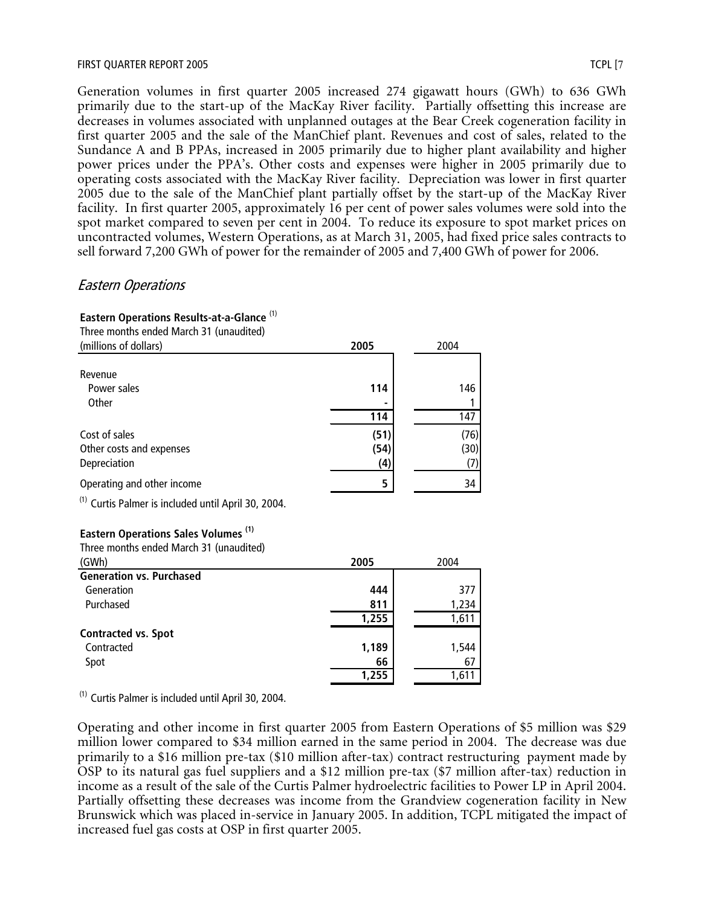Generation volumes in first quarter 2005 increased 274 gigawatt hours (GWh) to 636 GWh primarily due to the start-up of the MacKay River facility. Partially offsetting this increase are decreases in volumes associated with unplanned outages at the Bear Creek cogeneration facility in first quarter 2005 and the sale of the ManChief plant. Revenues and cost of sales, related to the Sundance A and B PPAs, increased in 2005 primarily due to higher plant availability and higher power prices under the PPA's. Other costs and expenses were higher in 2005 primarily due to operating costs associated with the MacKay River facility. Depreciation was lower in first quarter 2005 due to the sale of the ManChief plant partially offset by the start-up of the MacKay River facility. In first quarter 2005, approximately 16 per cent of power sales volumes were sold into the spot market compared to seven per cent in 2004. To reduce its exposure to spot market prices on uncontracted volumes, Western Operations, as at March 31, 2005, had fixed price sales contracts to sell forward 7,200 GWh of power for the remainder of 2005 and 7,400 GWh of power for 2006.

# Eastern Operations

| Eastern Operations Results-at-a-Glance <sup>(1)</sup><br>Three months ended March 31 (unaudited) |       |       |
|--------------------------------------------------------------------------------------------------|-------|-------|
| (millions of dollars)                                                                            | 2005  | 2004  |
|                                                                                                  |       |       |
| Revenue                                                                                          |       |       |
| Power sales                                                                                      | 114   | 146   |
| Other                                                                                            |       |       |
|                                                                                                  | 114   | 147   |
| Cost of sales                                                                                    | (51)  | (76)  |
| Other costs and expenses                                                                         | (54)  | (30)  |
| Depreciation                                                                                     | (4)   | (7)   |
|                                                                                                  |       |       |
| Operating and other income                                                                       | 5     | 34    |
| <sup>(1)</sup> Curtis Palmer is included until April 30, 2004.                                   |       |       |
| <b>Eastern Operations Sales Volumes (1)</b>                                                      |       |       |
| Three months ended March 31 (unaudited)                                                          |       |       |
| (GWh)                                                                                            | 2005  | 2004  |
| <b>Generation vs. Purchased</b>                                                                  |       |       |
| Generation                                                                                       | 444   | 377   |
| Purchased                                                                                        | 811   | 1,234 |
|                                                                                                  | 1,255 | 1,611 |
| <b>Contracted vs. Spot</b>                                                                       |       |       |
| Contracted                                                                                       | 1,189 | 1,544 |
| Spot                                                                                             | 66    | 67    |
|                                                                                                  | 1,255 | 1,611 |
|                                                                                                  |       |       |

 $(1)$  Curtis Palmer is included until April 30, 2004.

Operating and other income in first quarter 2005 from Eastern Operations of \$5 million was \$29 million lower compared to \$34 million earned in the same period in 2004. The decrease was due primarily to a \$16 million pre-tax (\$10 million after-tax) contract restructuring payment made by OSP to its natural gas fuel suppliers and a \$12 million pre-tax (\$7 million after-tax) reduction in income as a result of the sale of the Curtis Palmer hydroelectric facilities to Power LP in April 2004. Partially offsetting these decreases was income from the Grandview cogeneration facility in New Brunswick which was placed in-service in January 2005. In addition, TCPL mitigated the impact of increased fuel gas costs at OSP in first quarter 2005.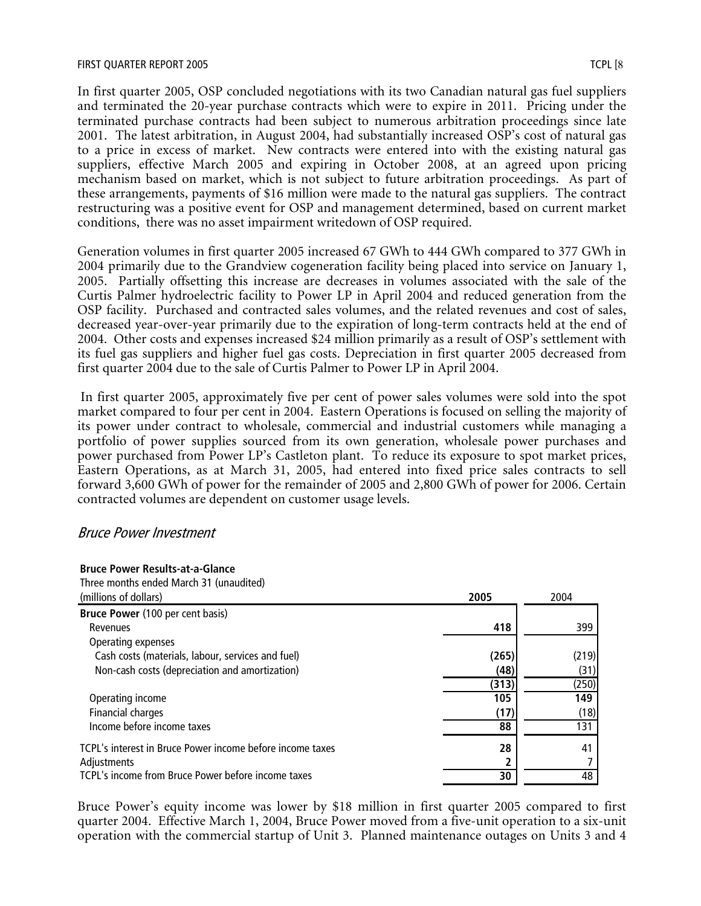In first quarter 2005, OSP concluded negotiations with its two Canadian natural gas fuel suppliers and terminated the 20-year purchase contracts which were to expire in 2011. Pricing under the terminated purchase contracts had been subject to numerous arbitration proceedings since late 2001. The latest arbitration, in August 2004, had substantially increased OSP's cost of natural gas to a price in excess of market. New contracts were entered into with the existing natural gas suppliers, effective March 2005 and expiring in October 2008, at an agreed upon pricing mechanism based on market, which is not subject to future arbitration proceedings. As part of these arrangements, payments of \$16 million were made to the natural gas suppliers. The contract restructuring was a positive event for OSP and management determined, based on current market conditions, there was no asset impairment writedown of OSP required.

Generation volumes in first quarter 2005 increased 67 GWh to 444 GWh compared to 377 GWh in 2004 primarily due to the Grandview cogeneration facility being placed into service on January 1, 2005. Partially offsetting this increase are decreases in volumes associated with the sale of the Curtis Palmer hydroelectric facility to Power LP in April 2004 and reduced generation from the OSP facility. Purchased and contracted sales volumes, and the related revenues and cost of sales, decreased year-over-year primarily due to the expiration of long-term contracts held at the end of 2004. Other costs and expenses increased \$24 million primarily as a result of OSP's settlement with its fuel gas suppliers and higher fuel gas costs. Depreciation in first quarter 2005 decreased from first quarter 2004 due to the sale of Curtis Palmer to Power LP in April 2004.

 In first quarter 2005, approximately five per cent of power sales volumes were sold into the spot market compared to four per cent in 2004. Eastern Operations is focused on selling the majority of its power under contract to wholesale, commercial and industrial customers while managing a portfolio of power supplies sourced from its own generation, wholesale power purchases and power purchased from Power LP's Castleton plant. To reduce its exposure to spot market prices, Eastern Operations, as at March 31, 2005, had entered into fixed price sales contracts to sell forward 3,600 GWh of power for the remainder of 2005 and 2,800 GWh of power for 2006. Certain contracted volumes are dependent on customer usage levels.

#### Bruce Power Investment

**Bruce Power Results-at-a-Glance**

| Three months ended March 31 (unaudited)                   |       |       |
|-----------------------------------------------------------|-------|-------|
| (millions of dollars)                                     | 2005  | 2004  |
| Bruce Power (100 per cent basis)                          |       |       |
| Revenues                                                  | 418   | 399   |
| Operating expenses                                        |       |       |
| Cash costs (materials, labour, services and fuel)         | (265) | (219) |
| Non-cash costs (depreciation and amortization)            | (48)  | (31)  |
|                                                           | (313) | (250) |
| Operating income                                          | 105   | 149   |
| Financial charges                                         | (17)  | (18)  |
| Income before income taxes                                | 88    | 131   |
| TCPL's interest in Bruce Power income before income taxes | 28    | 41    |
| Adjustments                                               |       |       |
| TCPL's income from Bruce Power before income taxes        | 30    | 48    |

Bruce Power's equity income was lower by \$18 million in first quarter 2005 compared to first quarter 2004. Effective March 1, 2004, Bruce Power moved from a five-unit operation to a six-unit operation with the commercial startup of Unit 3. Planned maintenance outages on Units 3 and 4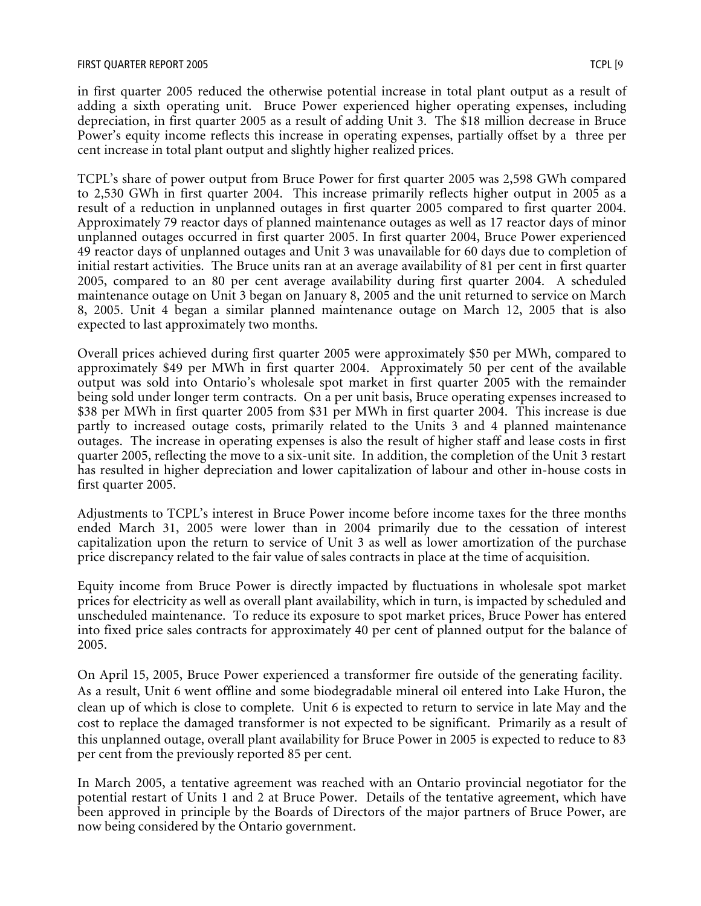in first quarter 2005 reduced the otherwise potential increase in total plant output as a result of adding a sixth operating unit. Bruce Power experienced higher operating expenses, including depreciation, in first quarter 2005 as a result of adding Unit 3. The \$18 million decrease in Bruce Power's equity income reflects this increase in operating expenses, partially offset by a three per cent increase in total plant output and slightly higher realized prices.

TCPL's share of power output from Bruce Power for first quarter 2005 was 2,598 GWh compared to 2,530 GWh in first quarter 2004. This increase primarily reflects higher output in 2005 as a result of a reduction in unplanned outages in first quarter 2005 compared to first quarter 2004. Approximately 79 reactor days of planned maintenance outages as well as 17 reactor days of minor unplanned outages occurred in first quarter 2005. In first quarter 2004, Bruce Power experienced 49 reactor days of unplanned outages and Unit 3 was unavailable for 60 days due to completion of initial restart activities. The Bruce units ran at an average availability of 81 per cent in first quarter 2005, compared to an 80 per cent average availability during first quarter 2004. A scheduled maintenance outage on Unit 3 began on January 8, 2005 and the unit returned to service on March 8, 2005. Unit 4 began a similar planned maintenance outage on March 12, 2005 that is also expected to last approximately two months.

Overall prices achieved during first quarter 2005 were approximately \$50 per MWh, compared to approximately \$49 per MWh in first quarter 2004. Approximately 50 per cent of the available output was sold into Ontario's wholesale spot market in first quarter 2005 with the remainder being sold under longer term contracts. On a per unit basis, Bruce operating expenses increased to \$38 per MWh in first quarter 2005 from \$31 per MWh in first quarter 2004. This increase is due partly to increased outage costs, primarily related to the Units 3 and 4 planned maintenance outages. The increase in operating expenses is also the result of higher staff and lease costs in first quarter 2005, reflecting the move to a six-unit site. In addition, the completion of the Unit 3 restart has resulted in higher depreciation and lower capitalization of labour and other in-house costs in first quarter 2005.

Adjustments to TCPL's interest in Bruce Power income before income taxes for the three months ended March 31, 2005 were lower than in 2004 primarily due to the cessation of interest capitalization upon the return to service of Unit 3 as well as lower amortization of the purchase price discrepancy related to the fair value of sales contracts in place at the time of acquisition.

Equity income from Bruce Power is directly impacted by fluctuations in wholesale spot market prices for electricity as well as overall plant availability, which in turn, is impacted by scheduled and unscheduled maintenance. To reduce its exposure to spot market prices, Bruce Power has entered into fixed price sales contracts for approximately 40 per cent of planned output for the balance of 2005.

On April 15, 2005, Bruce Power experienced a transformer fire outside of the generating facility. As a result, Unit 6 went offline and some biodegradable mineral oil entered into Lake Huron, the clean up of which is close to complete. Unit 6 is expected to return to service in late May and the cost to replace the damaged transformer is not expected to be significant. Primarily as a result of this unplanned outage, overall plant availability for Bruce Power in 2005 is expected to reduce to 83 per cent from the previously reported 85 per cent.

In March 2005, a tentative agreement was reached with an Ontario provincial negotiator for the potential restart of Units 1 and 2 at Bruce Power. Details of the tentative agreement, which have been approved in principle by the Boards of Directors of the major partners of Bruce Power, are now being considered by the Ontario government.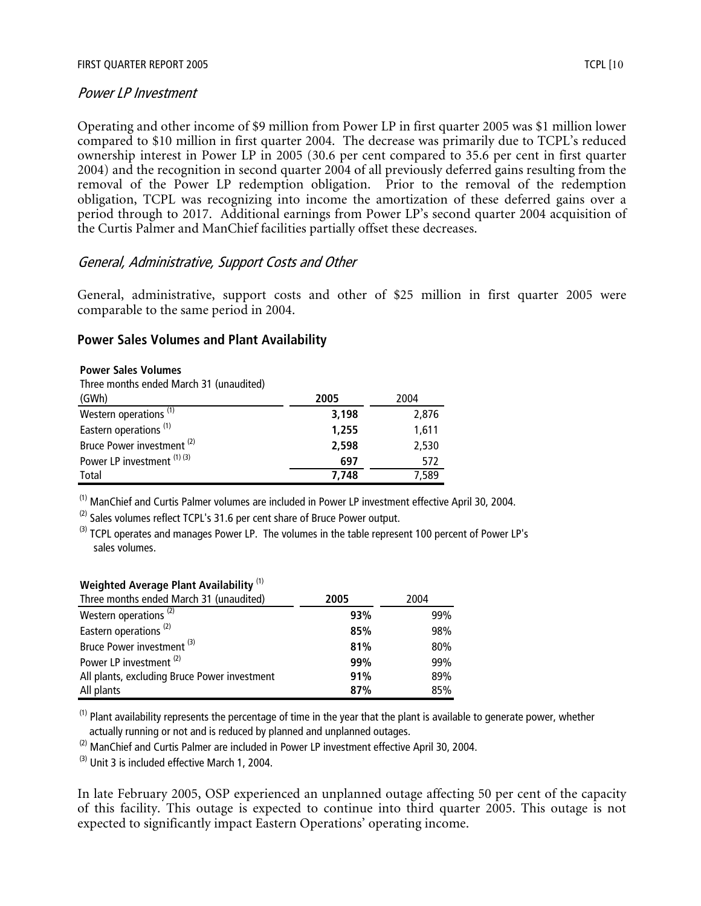#### Power LP Investment

Operating and other income of \$9 million from Power LP in first quarter 2005 was \$1 million lower compared to \$10 million in first quarter 2004. The decrease was primarily due to TCPL's reduced ownership interest in Power LP in 2005 (30.6 per cent compared to 35.6 per cent in first quarter 2004) and the recognition in second quarter 2004 of all previously deferred gains resulting from the removal of the Power LP redemption obligation. Prior to the removal of the redemption obligation, TCPL was recognizing into income the amortization of these deferred gains over a period through to 2017. Additional earnings from Power LP's second quarter 2004 acquisition of the Curtis Palmer and ManChief facilities partially offset these decreases.

### General, Administrative, Support Costs and Other

General, administrative, support costs and other of \$25 million in first quarter 2005 were comparable to the same period in 2004.

#### **Power Sales Volumes and Plant Availability**

#### **Power Sales Volumes**

Three months ended March 31 (unaudited)

| (GWh)                                 | 2005  | 2004  |
|---------------------------------------|-------|-------|
| Western operations <sup>(1)</sup>     | 3,198 | 2,876 |
| Eastern operations <sup>(1)</sup>     | 1,255 | 1.611 |
| Bruce Power investment <sup>(2)</sup> | 2,598 | 2,530 |
| Power LP investment $(1)$ $(3)$       | 697   | 572   |
| Total                                 | 7.748 | 7,589 |

(1) ManChief and Curtis Palmer volumes are included in Power LP investment effective April 30, 2004.

 $(2)$  Sales volumes reflect TCPL's 31.6 per cent share of Bruce Power output.

 $^{(3)}$  TCPL operates and manages Power LP. The volumes in the table represent 100 percent of Power LP's sales volumes.

| Weighted Average Plant Availability <sup>(1)</sup> |  |  |  |
|----------------------------------------------------|--|--|--|
|                                                    |  |  |  |

| Three months ended March 31 (unaudited)      | 2005 | 2004 |
|----------------------------------------------|------|------|
| Western operations <sup>(2)</sup>            | 93%  | 99%  |
| Eastern operations <sup>(2)</sup>            | 85%  | 98%  |
| Bruce Power investment <sup>(3)</sup>        | 81%  | 80%  |
| Power LP investment <sup>(2)</sup>           | 99%  | 99%  |
| All plants, excluding Bruce Power investment | 91%  | 89%  |
| All plants                                   | 87%  | 85%  |

 $<sup>(1)</sup>$  Plant availability represents the percentage of time in the year that the plant is available to generate power, whether</sup> actually running or not and is reduced by planned and unplanned outages.

 $(2)$  ManChief and Curtis Palmer are included in Power LP investment effective April 30, 2004.

 $^{(3)}$  Unit 3 is included effective March 1, 2004.

In late February 2005, OSP experienced an unplanned outage affecting 50 per cent of the capacity of this facility. This outage is expected to continue into third quarter 2005. This outage is not expected to significantly impact Eastern Operations' operating income.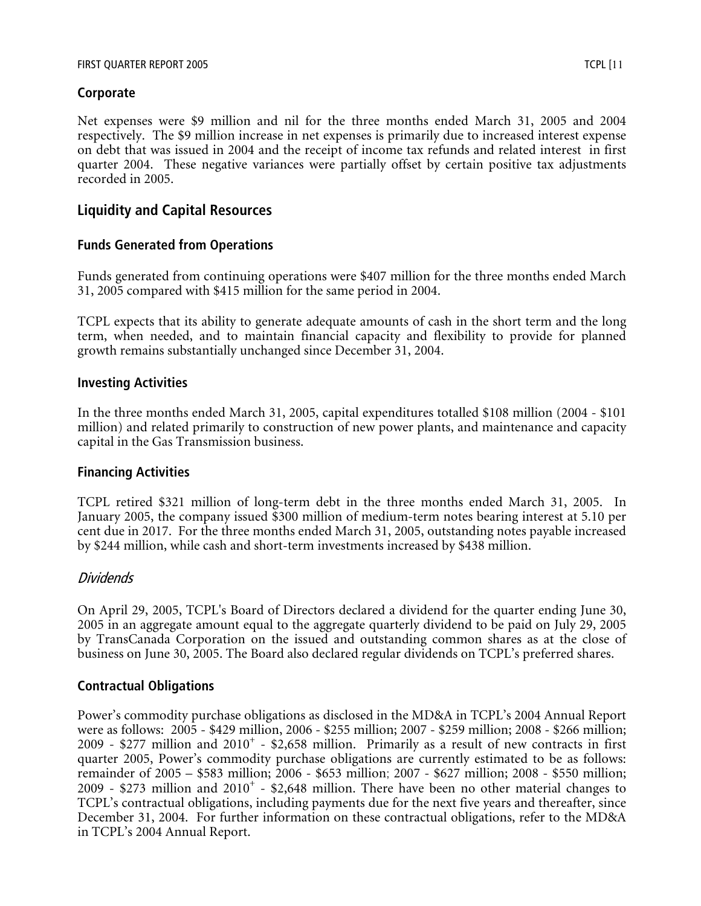# **Corporate**

Net expenses were \$9 million and nil for the three months ended March 31, 2005 and 2004 respectively. The \$9 million increase in net expenses is primarily due to increased interest expense on debt that was issued in 2004 and the receipt of income tax refunds and related interest in first quarter 2004. These negative variances were partially offset by certain positive tax adjustments recorded in 2005.

# **Liquidity and Capital Resources**

### **Funds Generated from Operations**

Funds generated from continuing operations were \$407 million for the three months ended March 31, 2005 compared with \$415 million for the same period in 2004.

TCPL expects that its ability to generate adequate amounts of cash in the short term and the long term, when needed, and to maintain financial capacity and flexibility to provide for planned growth remains substantially unchanged since December 31, 2004.

### **Investing Activities**

In the three months ended March 31, 2005, capital expenditures totalled \$108 million (2004 - \$101 million) and related primarily to construction of new power plants, and maintenance and capacity capital in the Gas Transmission business.

### **Financing Activities**

TCPL retired \$321 million of long-term debt in the three months ended March 31, 2005. In January 2005, the company issued \$300 million of medium-term notes bearing interest at 5.10 per cent due in 2017. For the three months ended March 31, 2005, outstanding notes payable increased by \$244 million, while cash and short-term investments increased by \$438 million.

# Dividends

On April 29, 2005, TCPL's Board of Directors declared a dividend for the quarter ending June 30, 2005 in an aggregate amount equal to the aggregate quarterly dividend to be paid on July 29, 2005 by TransCanada Corporation on the issued and outstanding common shares as at the close of business on June 30, 2005. The Board also declared regular dividends on TCPL's preferred shares.

### **Contractual Obligations**

Power's commodity purchase obligations as disclosed in the MD&A in TCPL's 2004 Annual Report were as follows: 2005 - \$429 million, 2006 - \$255 million; 2007 - \$259 million; 2008 - \$266 million; 2009 - \$277 million and  $2010<sup>+</sup>$  - \$2,658 million. Primarily as a result of new contracts in first quarter 2005, Power's commodity purchase obligations are currently estimated to be as follows: remainder of 2005 – \$583 million; 2006 - \$653 million; 2007 - \$627 million; 2008 - \$550 million; 2009 - \$273 million and  $2010<sup>+</sup>$  - \$2,648 million. There have been no other material changes to TCPL's contractual obligations, including payments due for the next five years and thereafter, since December 31, 2004. For further information on these contractual obligations, refer to the MD&A in TCPL's 2004 Annual Report.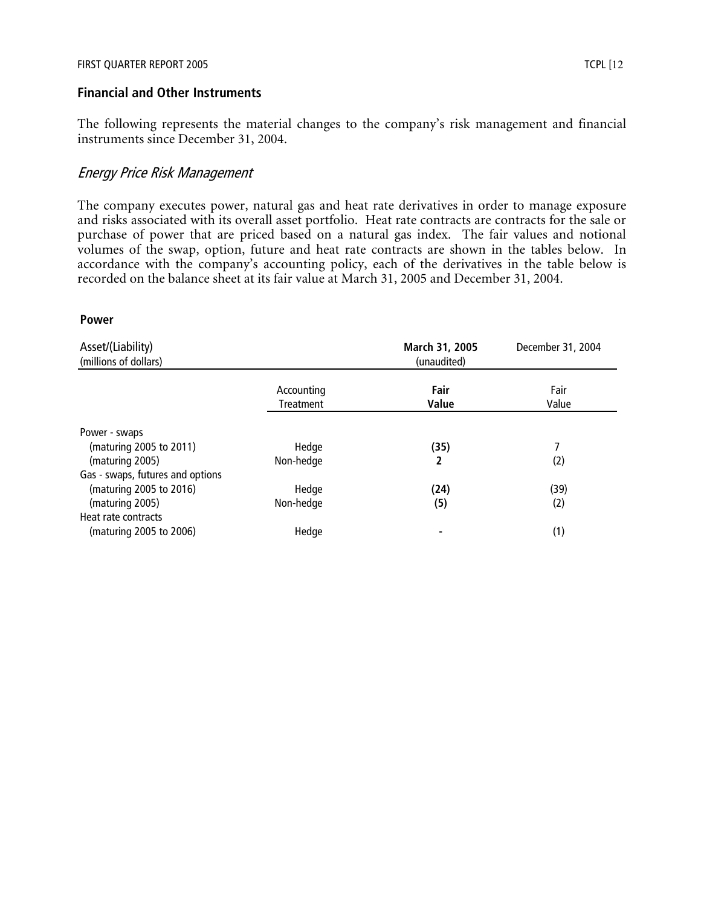#### **Financial and Other Instruments**

The following represents the material changes to the company's risk management and financial instruments since December 31, 2004.

#### Energy Price Risk Management

The company executes power, natural gas and heat rate derivatives in order to manage exposure and risks associated with its overall asset portfolio. Heat rate contracts are contracts for the sale or purchase of power that are priced based on a natural gas index. The fair values and notional volumes of the swap, option, future and heat rate contracts are shown in the tables below. In accordance with the company's accounting policy, each of the derivatives in the table below is recorded on the balance sheet at its fair value at March 31, 2005 and December 31, 2004.

#### **Power**

| Asset/(Liability)<br>(millions of dollars) |                         | March 31, 2005<br>(unaudited) | December 31, 2004 |
|--------------------------------------------|-------------------------|-------------------------------|-------------------|
|                                            | Accounting<br>Treatment | Fair<br>Value                 | Fair<br>Value     |
| Power - swaps                              |                         |                               |                   |
| (maturing 2005 to 2011)                    | Hedge                   | (35)                          | 7                 |
| (maturing 2005)                            | Non-hedge               | 2                             | (2)               |
| Gas - swaps, futures and options           |                         |                               |                   |
| (maturing 2005 to 2016)                    | Hedge                   | (24)                          | (39)              |
| (maturing 2005)                            | Non-hedge               | (5)                           | (2)               |
| Heat rate contracts                        |                         |                               |                   |
| (maturing 2005 to 2006)                    | Hedge                   |                               | (1)               |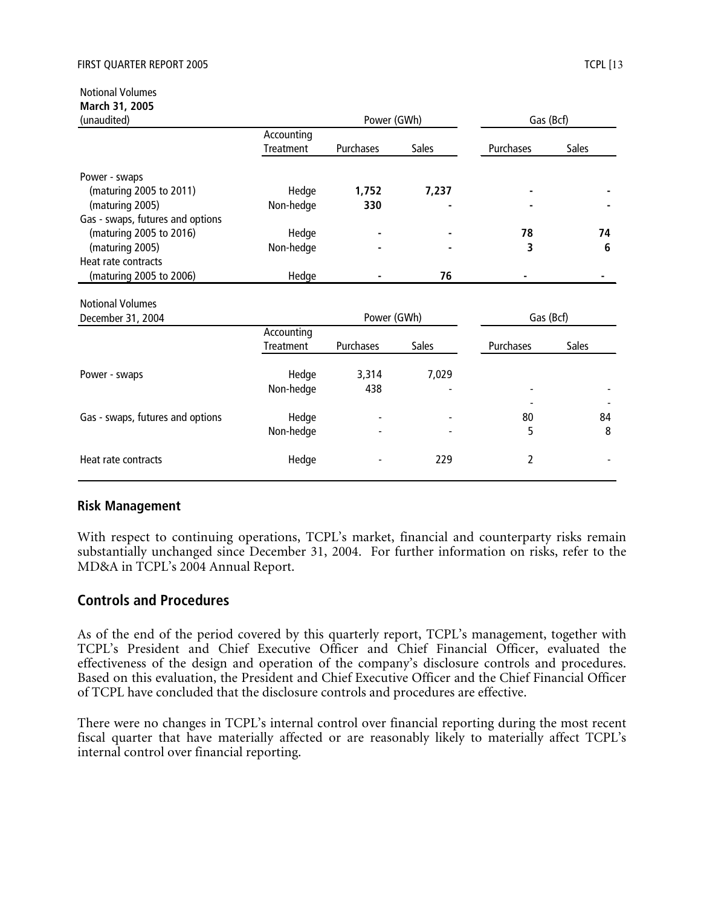Notional Volumes **March 31, 2005**

|                  |                                                        |              | Gas (Bcf)                           |              |  |
|------------------|--------------------------------------------------------|--------------|-------------------------------------|--------------|--|
| Accounting       |                                                        |              |                                     |              |  |
| Treatment        | Purchases                                              | <b>Sales</b> | Purchases                           | <b>Sales</b> |  |
|                  |                                                        |              |                                     |              |  |
| Hedge            | 1,752                                                  | 7,237        |                                     |              |  |
|                  | 330                                                    |              |                                     |              |  |
|                  |                                                        |              |                                     |              |  |
|                  |                                                        |              | 78                                  | 74           |  |
|                  |                                                        |              | 3                                   | 6            |  |
|                  |                                                        |              |                                     |              |  |
| Hedge            |                                                        | 76           |                                     |              |  |
|                  |                                                        |              |                                     |              |  |
|                  |                                                        |              |                                     |              |  |
|                  |                                                        |              |                                     |              |  |
| <b>Treatment</b> | Purchases                                              | <b>Sales</b> | Purchases                           | <b>Sales</b> |  |
|                  |                                                        |              |                                     |              |  |
| Non-hedge        | 438                                                    |              |                                     |              |  |
|                  |                                                        |              |                                     |              |  |
| Hedge            |                                                        |              | 80                                  | 84           |  |
| Non-hedge        |                                                        |              | 5                                   | 8            |  |
| Hedge            |                                                        | 229          | 2                                   |              |  |
|                  | Non-hedge<br>Hedge<br>Non-hedge<br>Accounting<br>Hedge | 3,314        | Power (GWh)<br>Power (GWh)<br>7,029 | Gas (Bcf)    |  |

#### **Risk Management**

With respect to continuing operations, TCPL's market, financial and counterparty risks remain substantially unchanged since December 31, 2004. For further information on risks, refer to the MD&A in TCPL's 2004 Annual Report.

# **Controls and Procedures**

As of the end of the period covered by this quarterly report, TCPL's management, together with TCPL's President and Chief Executive Officer and Chief Financial Officer, evaluated the effectiveness of the design and operation of the company's disclosure controls and procedures. Based on this evaluation, the President and Chief Executive Officer and the Chief Financial Officer of TCPL have concluded that the disclosure controls and procedures are effective.

There were no changes in TCPL's internal control over financial reporting during the most recent fiscal quarter that have materially affected or are reasonably likely to materially affect TCPL's internal control over financial reporting.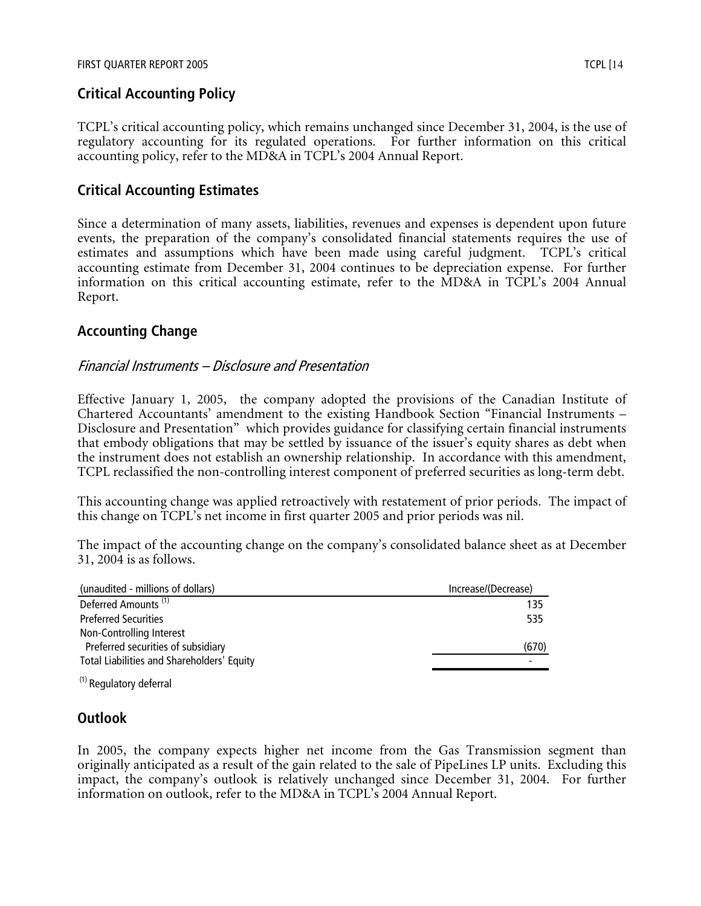# **Critical Accounting Policy**

TCPL's critical accounting policy, which remains unchanged since December 31, 2004, is the use of regulatory accounting for its regulated operations. For further information on this critical accounting policy, refer to the MD&A in TCPL's 2004 Annual Report.

# **Critical Accounting Estimates**

Since a determination of many assets, liabilities, revenues and expenses is dependent upon future events, the preparation of the company's consolidated financial statements requires the use of estimates and assumptions which have been made using careful judgment. TCPL's critical accounting estimate from December 31, 2004 continues to be depreciation expense. For further information on this critical accounting estimate, refer to the MD&A in TCPL's 2004 Annual Report.

# **Accounting Change**

### Financial Instruments – Disclosure and Presentation

Effective January 1, 2005, the company adopted the provisions of the Canadian Institute of Chartered Accountants' amendment to the existing Handbook Section "Financial Instruments – Disclosure and Presentation" which provides guidance for classifying certain financial instruments that embody obligations that may be settled by issuance of the issuer's equity shares as debt when the instrument does not establish an ownership relationship. In accordance with this amendment, TCPL reclassified the non-controlling interest component of preferred securities as long-term debt.

This accounting change was applied retroactively with restatement of prior periods. The impact of this change on TCPL's net income in first quarter 2005 and prior periods was nil.

The impact of the accounting change on the company's consolidated balance sheet as at December 31, 2004 is as follows.

| (unaudited - millions of dollars)          | Increase/(Decrease) |
|--------------------------------------------|---------------------|
| Deferred Amounts <sup>(1)</sup>            | 135                 |
| <b>Preferred Securities</b>                | 535                 |
| Non-Controlling Interest                   |                     |
| Preferred securities of subsidiary         | (670)               |
| Total Liabilities and Shareholders' Equity |                     |
|                                            |                     |

(1) Regulatory deferral

# **Outlook**

In 2005, the company expects higher net income from the Gas Transmission segment than originally anticipated as a result of the gain related to the sale of PipeLines LP units. Excluding this impact, the company's outlook is relatively unchanged since December 31, 2004. For further information on outlook, refer to the MD&A in TCPL's 2004 Annual Report.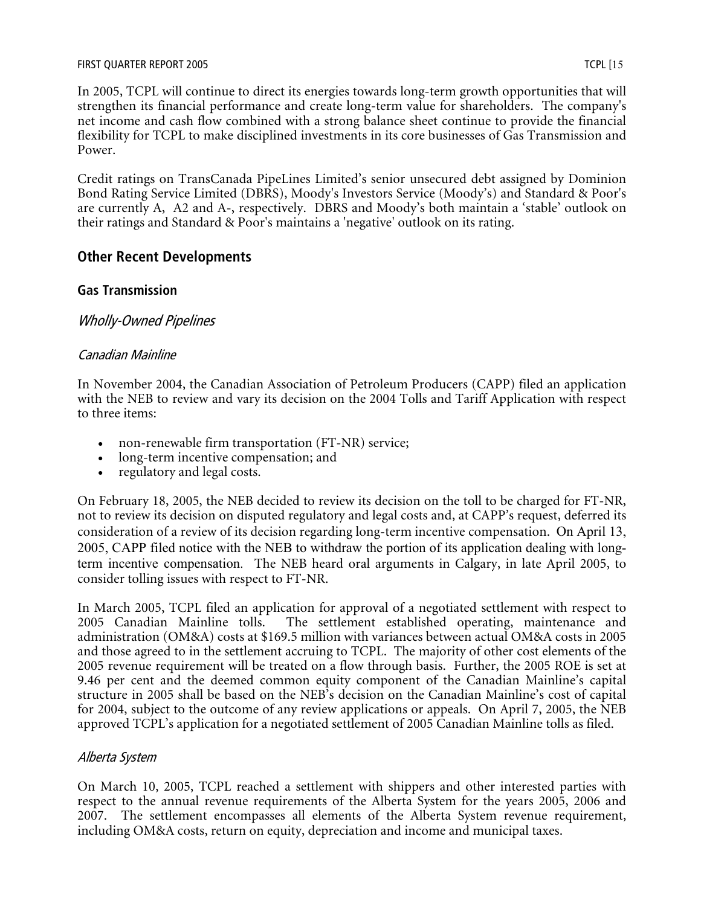In 2005, TCPL will continue to direct its energies towards long-term growth opportunities that will strengthen its financial performance and create long-term value for shareholders. The company's net income and cash flow combined with a strong balance sheet continue to provide the financial flexibility for TCPL to make disciplined investments in its core businesses of Gas Transmission and Power.

Credit ratings on TransCanada PipeLines Limited's senior unsecured debt assigned by Dominion Bond Rating Service Limited (DBRS), Moody's Investors Service (Moody's) and Standard & Poor's are currently A, A2 and A-, respectively. DBRS and Moody's both maintain a 'stable' outlook on their ratings and Standard & Poor's maintains a 'negative' outlook on its rating.

# **Other Recent Developments**

### **Gas Transmission**

# Wholly-Owned Pipelines

### Canadian Mainline

In November 2004, the Canadian Association of Petroleum Producers (CAPP) filed an application with the NEB to review and vary its decision on the 2004 Tolls and Tariff Application with respect to three items:

- non-renewable firm transportation (FT-NR) service;
- long-term incentive compensation; and
- regulatory and legal costs.

On February 18, 2005, the NEB decided to review its decision on the toll to be charged for FT-NR, not to review its decision on disputed regulatory and legal costs and, at CAPP's request, deferred its consideration of a review of its decision regarding long-term incentive compensation. On April 13, 2005, CAPP filed notice with the NEB to withdraw the portion of its application dealing with longterm incentive compensation. The NEB heard oral arguments in Calgary, in late April 2005, to consider tolling issues with respect to FT-NR.

In March 2005, TCPL filed an application for approval of a negotiated settlement with respect to 2005 Canadian Mainline tolls. The settlement established operating, maintenance and The settlement established operating, maintenance and administration (OM&A) costs at \$169.5 million with variances between actual OM&A costs in 2005 and those agreed to in the settlement accruing to TCPL. The majority of other cost elements of the 2005 revenue requirement will be treated on a flow through basis. Further, the 2005 ROE is set at 9.46 per cent and the deemed common equity component of the Canadian Mainline's capital structure in 2005 shall be based on the NEB's decision on the Canadian Mainline's cost of capital for 2004, subject to the outcome of any review applications or appeals. On April 7, 2005, the NEB approved TCPL's application for a negotiated settlement of 2005 Canadian Mainline tolls as filed.

### Alberta System

On March 10, 2005, TCPL reached a settlement with shippers and other interested parties with respect to the annual revenue requirements of the Alberta System for the years 2005, 2006 and 2007. The settlement encompasses all elements of the Alberta System revenue requirement, including OM&A costs, return on equity, depreciation and income and municipal taxes.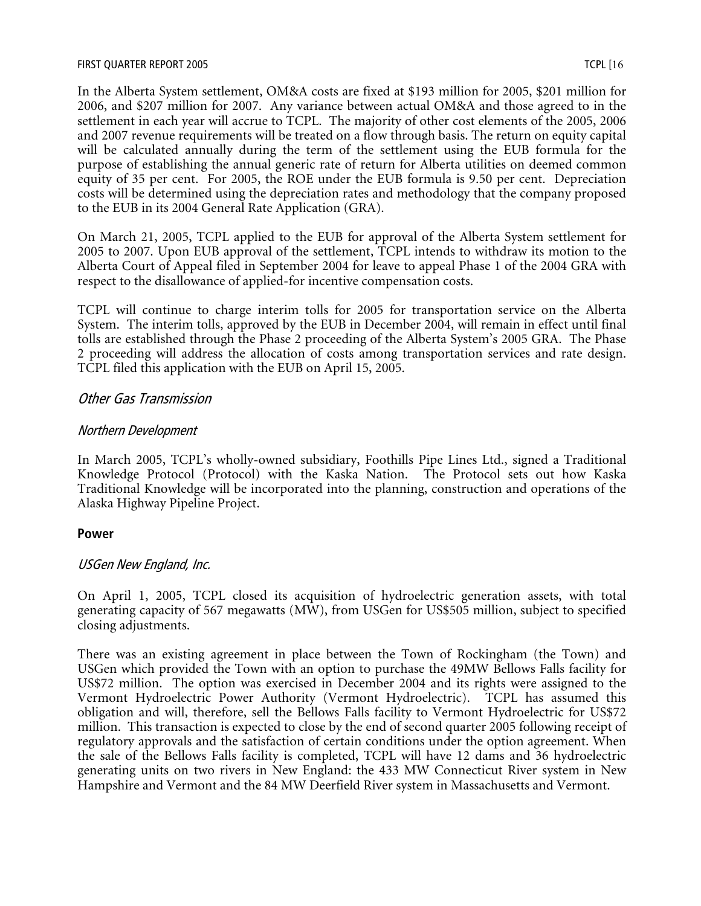In the Alberta System settlement, OM&A costs are fixed at \$193 million for 2005, \$201 million for 2006, and \$207 million for 2007. Any variance between actual OM&A and those agreed to in the settlement in each year will accrue to TCPL. The majority of other cost elements of the 2005, 2006 and 2007 revenue requirements will be treated on a flow through basis. The return on equity capital will be calculated annually during the term of the settlement using the EUB formula for the purpose of establishing the annual generic rate of return for Alberta utilities on deemed common equity of 35 per cent. For 2005, the ROE under the EUB formula is 9.50 per cent. Depreciation costs will be determined using the depreciation rates and methodology that the company proposed to the EUB in its 2004 General Rate Application (GRA).

On March 21, 2005, TCPL applied to the EUB for approval of the Alberta System settlement for 2005 to 2007. Upon EUB approval of the settlement, TCPL intends to withdraw its motion to the Alberta Court of Appeal filed in September 2004 for leave to appeal Phase 1 of the 2004 GRA with respect to the disallowance of applied-for incentive compensation costs.

TCPL will continue to charge interim tolls for 2005 for transportation service on the Alberta System. The interim tolls, approved by the EUB in December 2004, will remain in effect until final tolls are established through the Phase 2 proceeding of the Alberta System's 2005 GRA. The Phase 2 proceeding will address the allocation of costs among transportation services and rate design. TCPL filed this application with the EUB on April 15, 2005.

# Other Gas Transmission

# Northern Development

In March 2005, TCPL's wholly-owned subsidiary, Foothills Pipe Lines Ltd., signed a Traditional Knowledge Protocol (Protocol) with the Kaska Nation. The Protocol sets out how Kaska Traditional Knowledge will be incorporated into the planning, construction and operations of the Alaska Highway Pipeline Project.

# **Power**

# USGen New England, Inc.

On April 1, 2005, TCPL closed its acquisition of hydroelectric generation assets, with total generating capacity of 567 megawatts (MW), from USGen for US\$505 million, subject to specified closing adjustments.

There was an existing agreement in place between the Town of Rockingham (the Town) and USGen which provided the Town with an option to purchase the 49MW Bellows Falls facility for US\$72 million. The option was exercised in December 2004 and its rights were assigned to the Vermont Hydroelectric Power Authority (Vermont Hydroelectric). TCPL has assumed this obligation and will, therefore, sell the Bellows Falls facility to Vermont Hydroelectric for US\$72 million. This transaction is expected to close by the end of second quarter 2005 following receipt of regulatory approvals and the satisfaction of certain conditions under the option agreement. When the sale of the Bellows Falls facility is completed, TCPL will have 12 dams and 36 hydroelectric generating units on two rivers in New England: the 433 MW Connecticut River system in New Hampshire and Vermont and the 84 MW Deerfield River system in Massachusetts and Vermont.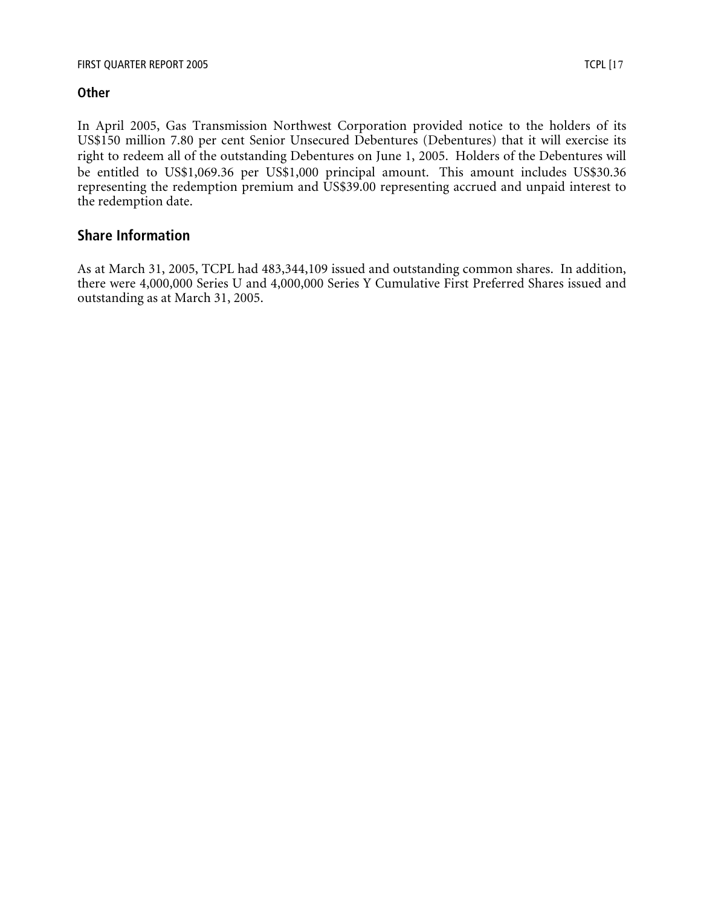# **Other**

In April 2005, Gas Transmission Northwest Corporation provided notice to the holders of its US\$150 million 7.80 per cent Senior Unsecured Debentures (Debentures) that it will exercise its right to redeem all of the outstanding Debentures on June 1, 2005. Holders of the Debentures will be entitled to US\$1,069.36 per US\$1,000 principal amount. This amount includes US\$30.36 representing the redemption premium and US\$39.00 representing accrued and unpaid interest to the redemption date.

# **Share Information**

As at March 31, 2005, TCPL had 483,344,109 issued and outstanding common shares. In addition, there were 4,000,000 Series U and 4,000,000 Series Y Cumulative First Preferred Shares issued and outstanding as at March 31, 2005.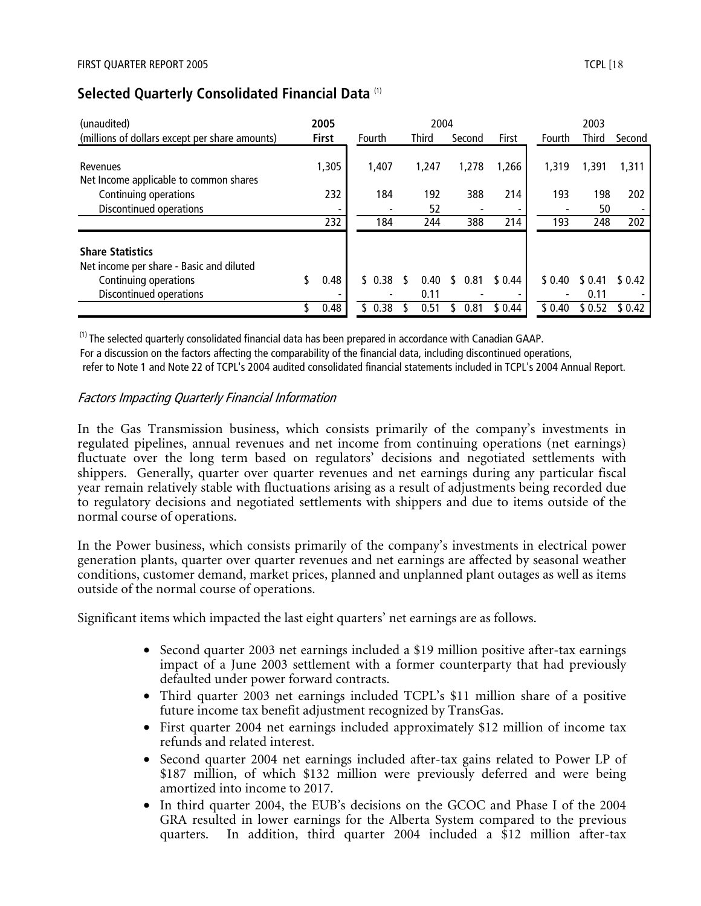| (unaudited)                                                                                                             |     | 2005         |        | 2004         |    |        |         |         | 2003            |         |
|-------------------------------------------------------------------------------------------------------------------------|-----|--------------|--------|--------------|----|--------|---------|---------|-----------------|---------|
| (millions of dollars except per share amounts)                                                                          |     | <b>First</b> | Fourth | <b>Third</b> |    | Second | First   | Fourth  | <b>Third</b>    | Second  |
| Revenues<br>Net Income applicable to common shares                                                                      |     | 1,305        | 1,407  | 1.247        |    | 1,278  | 1,266   | 1.319   | 1,391           | 1,311   |
| Continuing operations                                                                                                   |     | 232          | 184    | 192          |    | 388    | 214     | 193     | 198             | 202     |
| Discontinued operations                                                                                                 |     |              |        | 52           |    |        |         |         | 50              |         |
|                                                                                                                         |     | 232          | 184    | 244          |    | 388    | 214     | 193     | 248             | 202     |
| <b>Share Statistics</b><br>Net income per share - Basic and diluted<br>Continuing operations<br>Discontinued operations | \$. | 0.48         | \$0.38 | 0.40<br>0.11 | S. | 0.81   | \$ 0.44 | \$ 0.40 | \$ 0.41<br>0.11 | \$ 0.42 |
|                                                                                                                         |     | 0.48         | 0.38   | 0.51         |    | 0.81   | \$0.44  | \$0.40  | \$ 0.52         | \$0.42  |

# **Selected Quarterly Consolidated Financial Data** (1)

 $<sup>(1)</sup>$  The selected quarterly consolidated financial data has been prepared in accordance with Canadian GAAP.</sup> For a discussion on the factors affecting the comparability of the financial data, including discontinued operations, refer to Note 1 and Note 22 of TCPL's 2004 audited consolidated financial statements included in TCPL's 2004 Annual Report.

### Factors Impacting Quarterly Financial Information

In the Gas Transmission business, which consists primarily of the company's investments in regulated pipelines, annual revenues and net income from continuing operations (net earnings) fluctuate over the long term based on regulators' decisions and negotiated settlements with shippers. Generally, quarter over quarter revenues and net earnings during any particular fiscal year remain relatively stable with fluctuations arising as a result of adjustments being recorded due to regulatory decisions and negotiated settlements with shippers and due to items outside of the normal course of operations.

In the Power business, which consists primarily of the company's investments in electrical power generation plants, quarter over quarter revenues and net earnings are affected by seasonal weather conditions, customer demand, market prices, planned and unplanned plant outages as well as items outside of the normal course of operations.

Significant items which impacted the last eight quarters' net earnings are as follows.

- Second quarter 2003 net earnings included a \$19 million positive after-tax earnings impact of a June 2003 settlement with a former counterparty that had previously defaulted under power forward contracts.
- Third quarter 2003 net earnings included TCPL's \$11 million share of a positive future income tax benefit adjustment recognized by TransGas.
- First quarter 2004 net earnings included approximately \$12 million of income tax refunds and related interest.
- Second quarter 2004 net earnings included after-tax gains related to Power LP of \$187 million, of which \$132 million were previously deferred and were being amortized into income to 2017.
- In third quarter 2004, the EUB's decisions on the GCOC and Phase I of the 2004 GRA resulted in lower earnings for the Alberta System compared to the previous quarters. In addition, third quarter 2004 included a \$12 million after-tax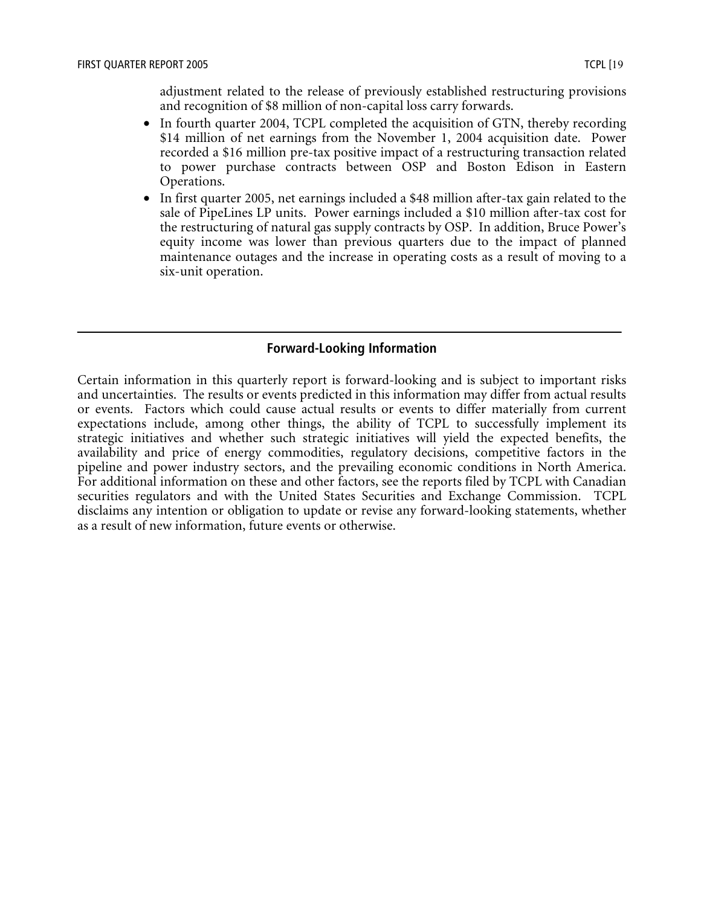adjustment related to the release of previously established restructuring provisions and recognition of \$8 million of non-capital loss carry forwards.

- In fourth quarter 2004, TCPL completed the acquisition of GTN, thereby recording \$14 million of net earnings from the November 1, 2004 acquisition date. Power recorded a \$16 million pre-tax positive impact of a restructuring transaction related to power purchase contracts between OSP and Boston Edison in Eastern Operations.
- In first quarter 2005, net earnings included a \$48 million after-tax gain related to the sale of PipeLines LP units. Power earnings included a \$10 million after-tax cost for the restructuring of natural gas supply contracts by OSP. In addition, Bruce Power's equity income was lower than previous quarters due to the impact of planned maintenance outages and the increase in operating costs as a result of moving to a six-unit operation.

#### **Forward-Looking Information**

Certain information in this quarterly report is forward-looking and is subject to important risks and uncertainties. The results or events predicted in this information may differ from actual results or events. Factors which could cause actual results or events to differ materially from current expectations include, among other things, the ability of TCPL to successfully implement its strategic initiatives and whether such strategic initiatives will yield the expected benefits, the availability and price of energy commodities, regulatory decisions, competitive factors in the pipeline and power industry sectors, and the prevailing economic conditions in North America. For additional information on these and other factors, see the reports filed by TCPL with Canadian securities regulators and with the United States Securities and Exchange Commission. TCPL disclaims any intention or obligation to update or revise any forward-looking statements, whether as a result of new information, future events or otherwise.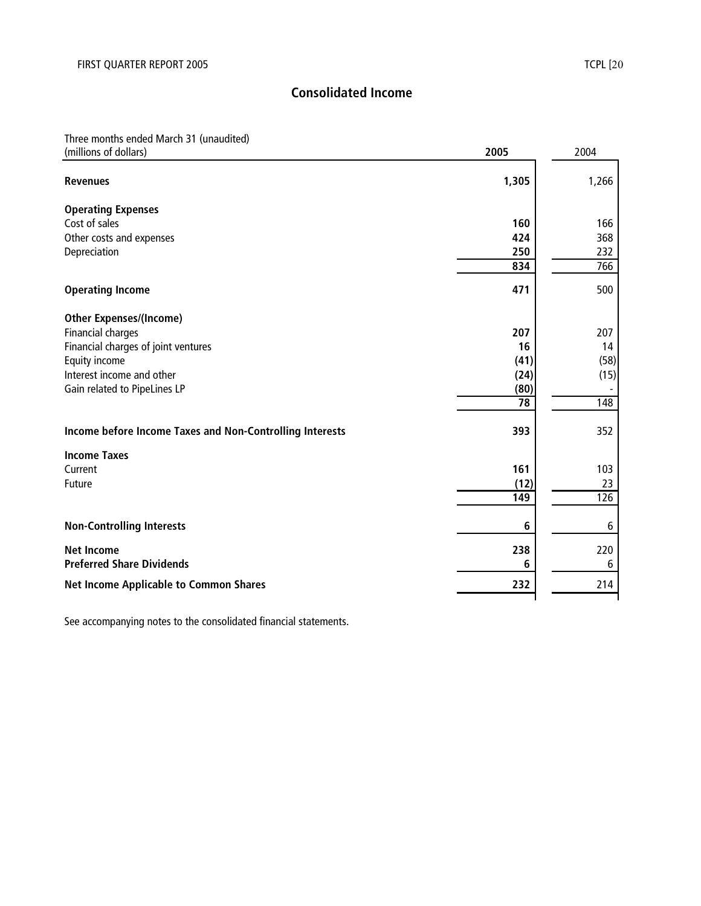# Three months ended March 31 (unaudited)

| (millions of dollars)                                    | 2005  | 2004  |
|----------------------------------------------------------|-------|-------|
| <b>Revenues</b>                                          | 1,305 | 1,266 |
| <b>Operating Expenses</b>                                |       |       |
| Cost of sales                                            | 160   | 166   |
| Other costs and expenses                                 | 424   | 368   |
| Depreciation                                             | 250   | 232   |
|                                                          | 834   | 766   |
| <b>Operating Income</b>                                  | 471   | 500   |
| <b>Other Expenses/(Income)</b>                           |       |       |
| <b>Financial charges</b>                                 | 207   | 207   |
| Financial charges of joint ventures                      | 16    | 14    |
| Equity income                                            | (41)  | (58)  |
| Interest income and other                                | (24)  | (15)  |
| Gain related to PipeLines LP                             | (80)  |       |
|                                                          | 78    | 148   |
| Income before Income Taxes and Non-Controlling Interests | 393   | 352   |
| <b>Income Taxes</b>                                      |       |       |
| Current                                                  | 161   | 103   |
| Future                                                   | (12)  | 23    |
|                                                          | 149   | 126   |
| <b>Non-Controlling Interests</b>                         | 6     | 6     |
| <b>Net Income</b>                                        | 238   | 220   |
| <b>Preferred Share Dividends</b>                         | 6     | 6     |
| <b>Net Income Applicable to Common Shares</b>            | 232   | 214   |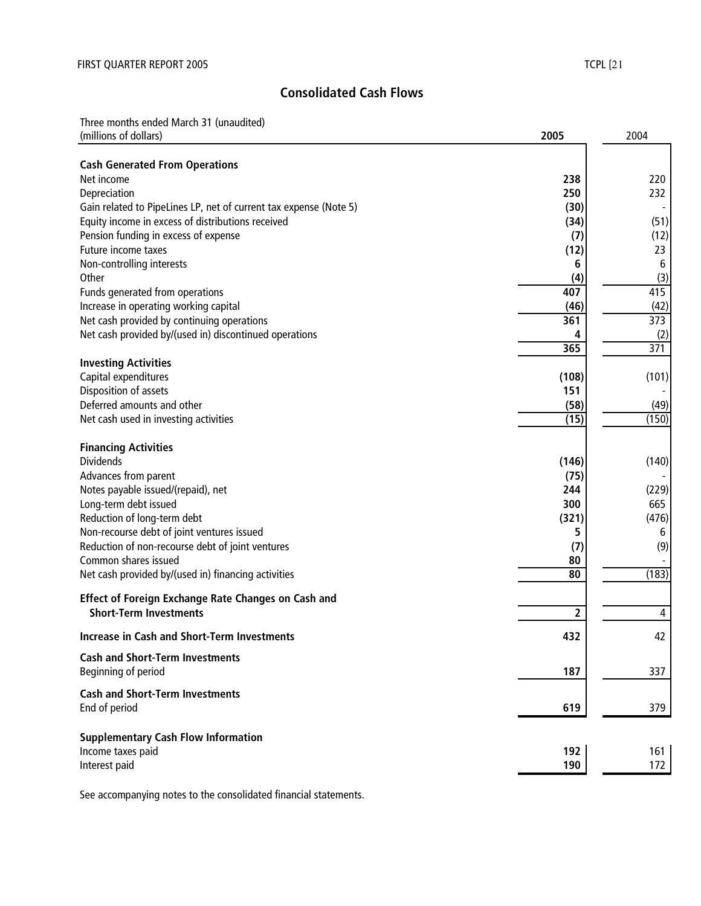# **Consolidated Cash Flows**

Three months ended March 31 (unaudited)

| (millions of dollars)                                                    | 2005                    | 2004  |
|--------------------------------------------------------------------------|-------------------------|-------|
|                                                                          |                         |       |
| <b>Cash Generated From Operations</b><br>Net income                      | 238                     | 220   |
| Depreciation                                                             | 250                     | 232   |
| Gain related to PipeLines LP, net of current tax expense (Note 5)        | (30)                    |       |
| Equity income in excess of distributions received                        | (34)                    | (51)  |
| Pension funding in excess of expense                                     | (7)                     | (12)  |
| Future income taxes                                                      | (12)                    | 23    |
| Non-controlling interests                                                | 6                       | 6     |
| Other                                                                    | (4)                     | (3)   |
| Funds generated from operations                                          | 407                     | 415   |
| Increase in operating working capital                                    | (46)                    | (42)  |
| Net cash provided by continuing operations                               | 361                     | 373   |
| Net cash provided by/(used in) discontinued operations                   | 4                       | (2)   |
|                                                                          | 365                     | 371   |
| <b>Investing Activities</b>                                              |                         |       |
| Capital expenditures                                                     | (108)                   | (101) |
| Disposition of assets                                                    | 151                     |       |
| Deferred amounts and other                                               | (58)                    | (49)  |
| Net cash used in investing activities                                    | (15)                    | (150) |
|                                                                          |                         |       |
| <b>Financing Activities</b>                                              |                         |       |
| <b>Dividends</b>                                                         | (146)                   | (140) |
| Advances from parent                                                     | (75)                    |       |
| Notes payable issued/(repaid), net                                       | 244                     | (229) |
| Long-term debt issued                                                    | 300                     | 665   |
| Reduction of long-term debt                                              | (321)                   | (476) |
| Non-recourse debt of joint ventures issued                               | 5                       | 6     |
| Reduction of non-recourse debt of joint ventures<br>Common shares issued | (7)                     | (9)   |
|                                                                          | 80<br>80                | (183) |
| Net cash provided by/(used in) financing activities                      |                         |       |
| Effect of Foreign Exchange Rate Changes on Cash and                      |                         |       |
| <b>Short-Term Investments</b>                                            | $\overline{\mathbf{c}}$ | 4     |
| <b>Increase in Cash and Short-Term Investments</b>                       | 432                     | 42    |
| <b>Cash and Short-Term Investments</b>                                   |                         |       |
| Beginning of period                                                      | 187                     | 337   |
|                                                                          |                         |       |
| <b>Cash and Short-Term Investments</b>                                   |                         |       |
| End of period                                                            | 619                     | 379   |
| <b>Supplementary Cash Flow Information</b>                               |                         |       |
| Income taxes paid                                                        | 192                     | 161   |
| Interest paid                                                            | 190                     | 172   |
|                                                                          |                         |       |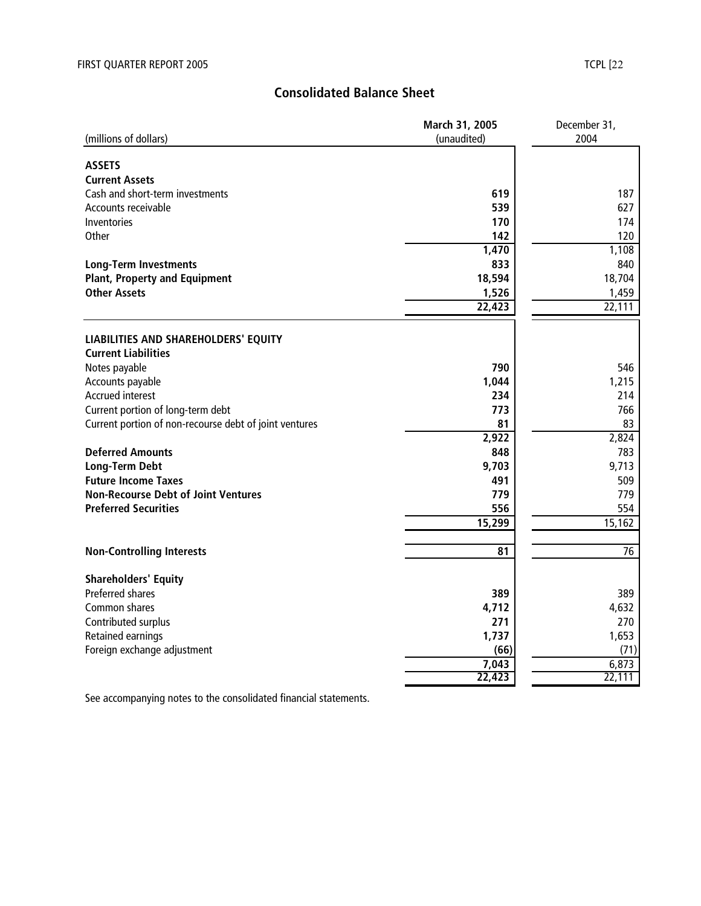# **Consolidated Balance Sheet**

|                                                        | March 31, 2005 | December 31, |  |  |
|--------------------------------------------------------|----------------|--------------|--|--|
| (millions of dollars)                                  | (unaudited)    | 2004         |  |  |
|                                                        |                |              |  |  |
| <b>ASSETS</b>                                          |                |              |  |  |
| <b>Current Assets</b>                                  |                |              |  |  |
| Cash and short-term investments                        | 619            | 187          |  |  |
| Accounts receivable                                    | 539            | 627          |  |  |
| Inventories                                            | 170            | 174          |  |  |
| Other                                                  | 142            | 120          |  |  |
|                                                        | 1,470          | 1,108        |  |  |
| <b>Long-Term Investments</b>                           | 833            | 840          |  |  |
| <b>Plant, Property and Equipment</b>                   | 18,594         | 18,704       |  |  |
| <b>Other Assets</b>                                    | 1,526          | 1,459        |  |  |
|                                                        | 22,423         | 22,111       |  |  |
|                                                        |                |              |  |  |
| LIABILITIES AND SHAREHOLDERS' EQUITY                   |                |              |  |  |
| <b>Current Liabilities</b>                             |                |              |  |  |
| Notes payable                                          | 790            | 546          |  |  |
| Accounts payable                                       | 1,044          | 1,215        |  |  |
| <b>Accrued interest</b>                                | 234            | 214          |  |  |
| Current portion of long-term debt                      | 773            | 766          |  |  |
| Current portion of non-recourse debt of joint ventures | 81             | 83           |  |  |
|                                                        | 2,922          | 2,824        |  |  |
| <b>Deferred Amounts</b>                                | 848            | 783          |  |  |
| <b>Long-Term Debt</b>                                  | 9,703          | 9,713        |  |  |
| <b>Future Income Taxes</b>                             | 491            | 509          |  |  |
| <b>Non-Recourse Debt of Joint Ventures</b>             | 779            | 779          |  |  |
| <b>Preferred Securities</b>                            | 556            | 554          |  |  |
|                                                        | 15,299         | 15,162       |  |  |
|                                                        |                |              |  |  |
| <b>Non-Controlling Interests</b>                       | 81             | 76           |  |  |
| <b>Shareholders' Equity</b>                            |                |              |  |  |
| Preferred shares                                       | 389            | 389          |  |  |
| Common shares                                          | 4,712          | 4,632        |  |  |
|                                                        | 271            | 270          |  |  |
| Contributed surplus                                    |                |              |  |  |
| Retained earnings                                      | 1,737          | 1,653        |  |  |
| Foreign exchange adjustment                            | (66)           | (71)         |  |  |
|                                                        | 7,043          | 6,873        |  |  |
|                                                        | 22,423         | 22,111       |  |  |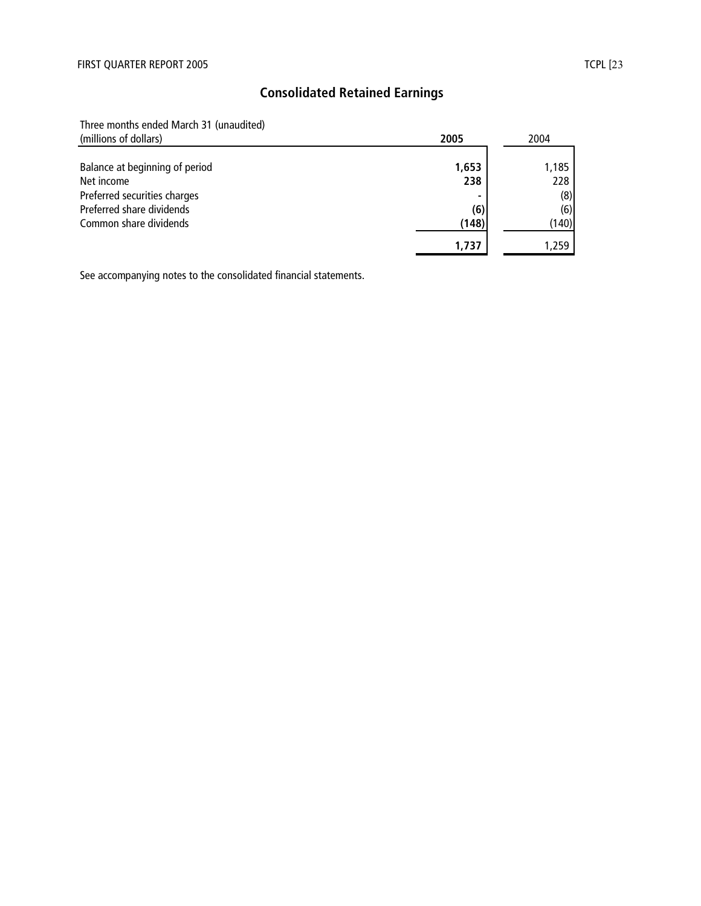# **Consolidated Retained Earnings**

Three months ended March 31 (unaudited)

| (millions of dollars)          | 2005  | 2004  |  |
|--------------------------------|-------|-------|--|
|                                |       |       |  |
| Balance at beginning of period | 1,653 | 1,185 |  |
| Net income                     | 238   | 228   |  |
| Preferred securities charges   |       | (8)   |  |
| Preferred share dividends      | (6)   | (6)   |  |
| Common share dividends         | (148) | (140) |  |
|                                | 1,737 | .259  |  |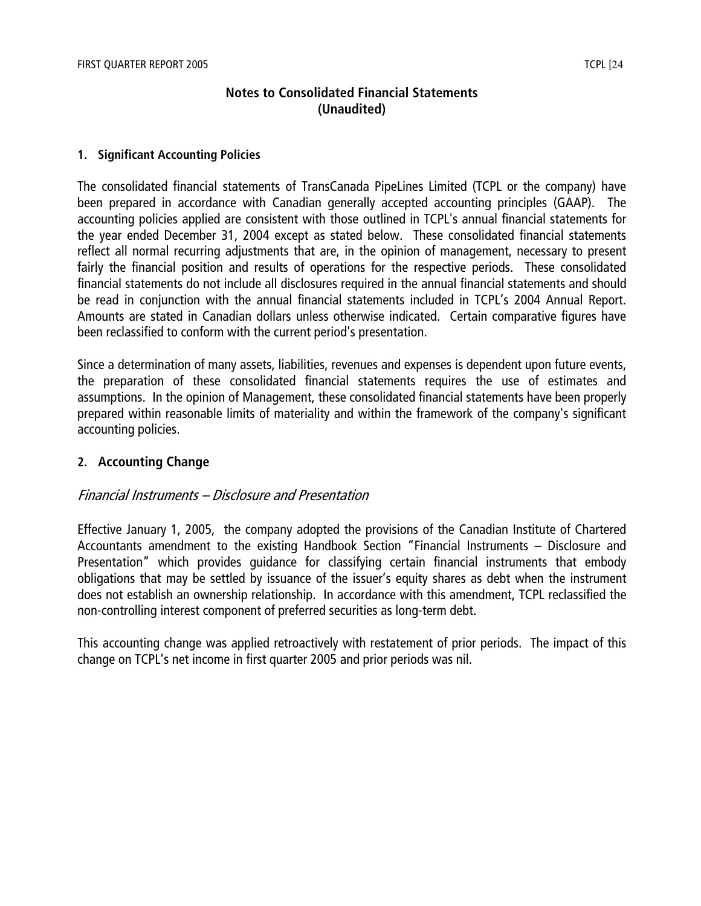# **Notes to Consolidated Financial Statements (Unaudited)**

#### **1. Significant Accounting Policies**

The consolidated financial statements of TransCanada PipeLines Limited (TCPL or the company) have been prepared in accordance with Canadian generally accepted accounting principles (GAAP). The accounting policies applied are consistent with those outlined in TCPL's annual financial statements for the year ended December 31, 2004 except as stated below. These consolidated financial statements reflect all normal recurring adjustments that are, in the opinion of management, necessary to present fairly the financial position and results of operations for the respective periods. These consolidated financial statements do not include all disclosures required in the annual financial statements and should be read in conjunction with the annual financial statements included in TCPL's 2004 Annual Report. Amounts are stated in Canadian dollars unless otherwise indicated. Certain comparative figures have been reclassified to conform with the current period's presentation.

Since a determination of many assets, liabilities, revenues and expenses is dependent upon future events, the preparation of these consolidated financial statements requires the use of estimates and assumptions. In the opinion of Management, these consolidated financial statements have been properly prepared within reasonable limits of materiality and within the framework of the company's significant accounting policies.

# **2. Accounting Change**

### Financial Instruments – Disclosure and Presentation

Effective January 1, 2005, the company adopted the provisions of the Canadian Institute of Chartered Accountants amendment to the existing Handbook Section "Financial Instruments – Disclosure and Presentation" which provides guidance for classifying certain financial instruments that embody obligations that may be settled by issuance of the issuer's equity shares as debt when the instrument does not establish an ownership relationship. In accordance with this amendment, TCPL reclassified the non-controlling interest component of preferred securities as long-term debt.

This accounting change was applied retroactively with restatement of prior periods. The impact of this change on TCPL's net income in first quarter 2005 and prior periods was nil.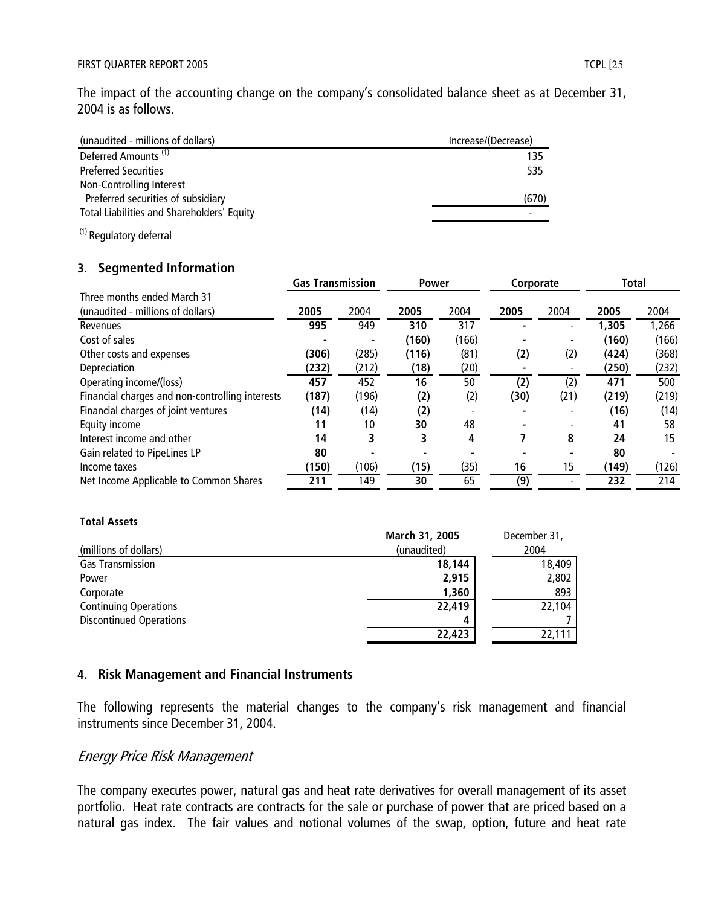The impact of the accounting change on the company's consolidated balance sheet as at December 31, 2004 is as follows.

| (unaudited - millions of dollars)          | Increase/(Decrease) |
|--------------------------------------------|---------------------|
| Deferred Amounts <sup>(1)</sup>            | 135                 |
| <b>Preferred Securities</b>                | 535                 |
| Non-Controlling Interest                   |                     |
| Preferred securities of subsidiary         | (670)               |
| Total Liabilities and Shareholders' Equity |                     |
|                                            |                     |

(1) Regulatory deferral

### **3. Segmented Information**

|                                                 | <b>Gas Transmission</b> |       | <b>Power</b> |       | Corporate |      | Total |       |
|-------------------------------------------------|-------------------------|-------|--------------|-------|-----------|------|-------|-------|
| Three months ended March 31                     |                         |       |              |       |           |      |       |       |
| (unaudited - millions of dollars)               | 2005                    | 2004  | 2005         | 2004  | 2005      | 2004 | 2005  | 2004  |
| Revenues                                        | 995                     | 949   | 310          | 317   |           |      | 1,305 | 1,266 |
| Cost of sales                                   |                         |       | (160)        | (166) |           |      | (160) | (166) |
| Other costs and expenses                        | (306)                   | (285) | (116)        | (81)  | (2)       | (2)  | (424) | (368) |
| Depreciation                                    | (232)                   | (212) | (18)         | (20)  |           |      | (250) | (232) |
| Operating income/(loss)                         | 457                     | 452   | 16           | 50    | (2)       | (2)  | 471   | 500   |
| Financial charges and non-controlling interests | (187)                   | (196) | (2)          | (2)   | (30)      | (21) | (219) | (219) |
| Financial charges of joint ventures             | (14)                    | (14)  | (2)          |       |           |      | (16)  | (14)  |
| Equity income                                   | 11                      | 10    | 30           | 48    |           |      | 41    | 58    |
| Interest income and other                       | 14                      | 3     | 3            | 4     |           | 8    | 24    | 15    |
| Gain related to PipeLines LP                    | 80                      |       |              |       |           |      | 80    |       |
| Income taxes                                    | (150)                   | (106) | (15)         | (35)  | 16        | 15   | (149) | (126) |
| Net Income Applicable to Common Shares          | 211                     | 149   | 30           | 65    | (9)       |      | 232   | 214   |

#### **Total Assets**

|                                | March 31, 2005 | December 31, |
|--------------------------------|----------------|--------------|
| (millions of dollars)          | (unaudited)    | 2004         |
| <b>Gas Transmission</b>        | 18,144         | 18,409       |
| Power                          | 2,915          | 2,802        |
| Corporate                      | 1,360          | 893          |
| <b>Continuing Operations</b>   | 22,419         | 22,104       |
| <b>Discontinued Operations</b> | 4              |              |
|                                | 22,423         | 22,111       |

### **4. Risk Management and Financial Instruments**

The following represents the material changes to the company's risk management and financial instruments since December 31, 2004.

### Energy Price Risk Management

The company executes power, natural gas and heat rate derivatives for overall management of its asset portfolio. Heat rate contracts are contracts for the sale or purchase of power that are priced based on a natural gas index. The fair values and notional volumes of the swap, option, future and heat rate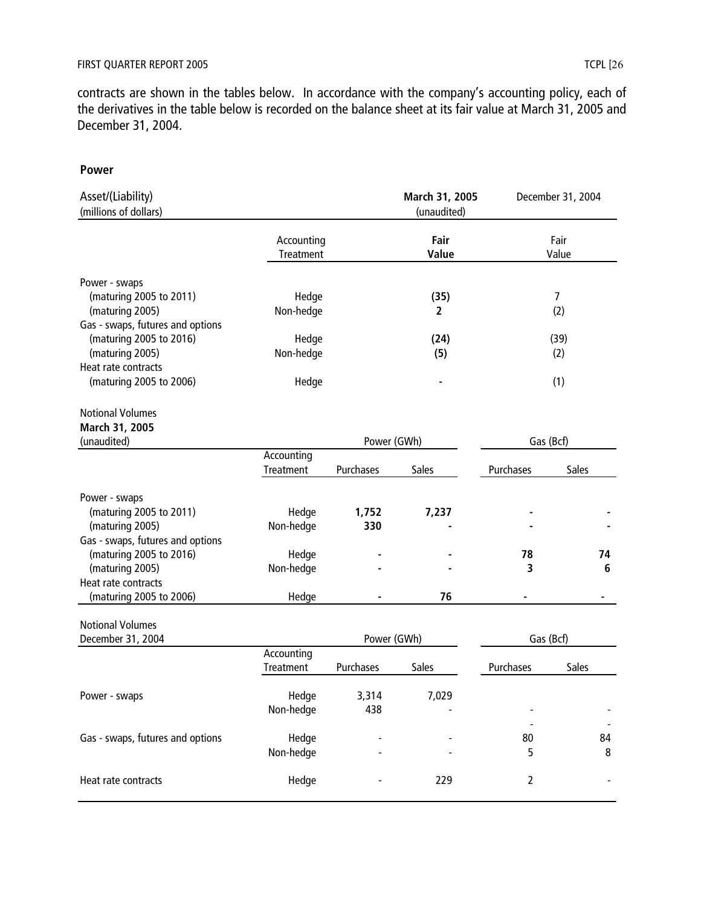contracts are shown in the tables below. In accordance with the company's accounting policy, each of the derivatives in the table below is recorded on the balance sheet at its fair value at March 31, 2005 and December 31, 2004.

#### **Power**

| Asset/(Liability)<br>(millions of dollars)                                                            |                         |              | March 31, 2005<br>(unaudited) |                | December 31, 2004 |
|-------------------------------------------------------------------------------------------------------|-------------------------|--------------|-------------------------------|----------------|-------------------|
|                                                                                                       | Accounting<br>Treatment |              | Fair<br>Value                 |                | Fair<br>Value     |
| Power - swaps<br>(maturing 2005 to 2011)<br>(maturing 2005)                                           | Hedge<br>Non-hedge      |              | (35)<br>$\overline{2}$        |                | 7<br>(2)          |
| Gas - swaps, futures and options<br>(maturing 2005 to 2016)<br>(maturing 2005)<br>Heat rate contracts | Hedge<br>Non-hedge      |              | (24)<br>(5)                   |                | (39)<br>(2)       |
| (maturing 2005 to 2006)                                                                               | Hedge                   |              |                               |                | (1)               |
| <b>Notional Volumes</b><br>March 31, 2005                                                             |                         |              |                               |                |                   |
| (unaudited)                                                                                           | Accounting              | Power (GWh)  |                               | Gas (Bcf)      |                   |
|                                                                                                       | Treatment               | Purchases    | Sales                         | Purchases      | Sales             |
| Power - swaps<br>(maturing 2005 to 2011)<br>(maturing 2005)                                           | Hedge<br>Non-hedge      | 1,752<br>330 | 7,237                         |                |                   |
| Gas - swaps, futures and options<br>(maturing 2005 to 2016)<br>(maturing 2005)                        | Hedge<br>Non-hedge      |              |                               | 78<br>3        | 74<br>6           |
| Heat rate contracts<br>(maturing 2005 to 2006)                                                        | Hedge                   |              | 76                            |                |                   |
| <b>Notional Volumes</b><br>December 31, 2004                                                          |                         |              | Power (GWh)                   | Gas (Bcf)      |                   |
|                                                                                                       | Accounting<br>Treatment | Purchases    | Sales                         | Purchases      | Sales             |
| Power - swaps                                                                                         | Hedge<br>Non-hedge      | 3,314<br>438 | 7,029                         |                |                   |
| Gas - swaps, futures and options                                                                      | Hedge<br>Non-hedge      |              |                               | 80<br>5        | 84<br>8           |
| Heat rate contracts                                                                                   | Hedge                   |              | 229                           | $\overline{2}$ |                   |